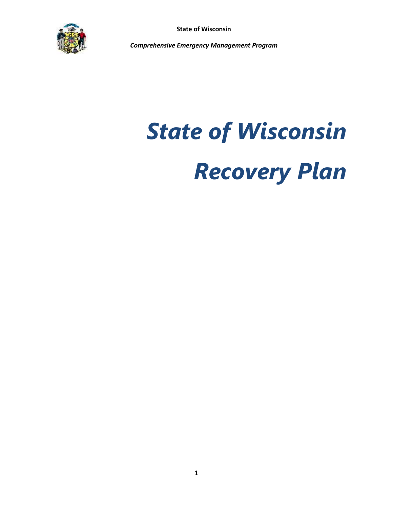

*Comprehensive Emergency Management Program*

# *State of Wisconsin Recovery Plan*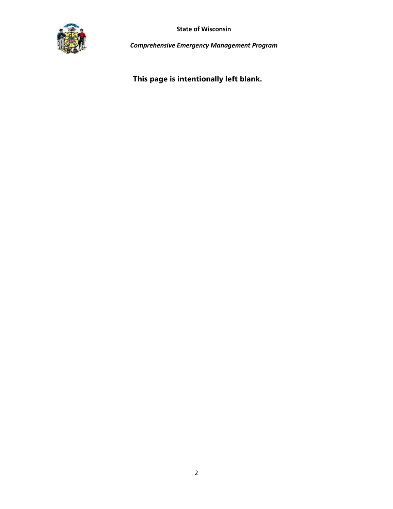

*Comprehensive Emergency Management Program*

**This page is intentionally left blank.**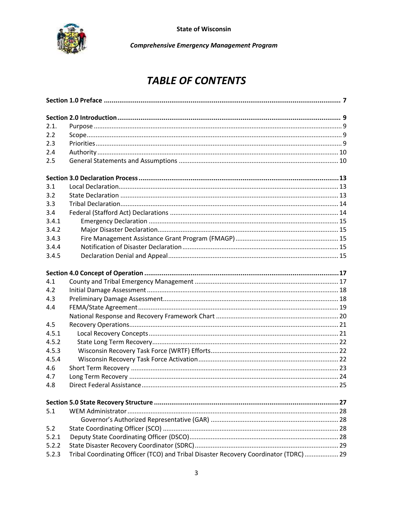

**Comprehensive Emergency Management Program** 

# **TABLE OF CONTENTS**

| 2.1.  |                                                                                       |  |  |  |
|-------|---------------------------------------------------------------------------------------|--|--|--|
| 2.2   |                                                                                       |  |  |  |
| 2.3   |                                                                                       |  |  |  |
| 2.4   |                                                                                       |  |  |  |
| 2.5   |                                                                                       |  |  |  |
|       |                                                                                       |  |  |  |
| 3.1   |                                                                                       |  |  |  |
| 3.2   |                                                                                       |  |  |  |
| 3.3   |                                                                                       |  |  |  |
| 3.4   |                                                                                       |  |  |  |
| 3.4.1 |                                                                                       |  |  |  |
| 3.4.2 |                                                                                       |  |  |  |
| 3.4.3 |                                                                                       |  |  |  |
| 3.4.4 |                                                                                       |  |  |  |
| 3.4.5 |                                                                                       |  |  |  |
|       |                                                                                       |  |  |  |
| 4.1   |                                                                                       |  |  |  |
| 4.2   |                                                                                       |  |  |  |
| 4.3   |                                                                                       |  |  |  |
| 4.4   |                                                                                       |  |  |  |
|       |                                                                                       |  |  |  |
| 4.5   |                                                                                       |  |  |  |
| 4.5.1 |                                                                                       |  |  |  |
| 4.5.2 |                                                                                       |  |  |  |
| 4.5.3 |                                                                                       |  |  |  |
| 4.5.4 |                                                                                       |  |  |  |
| 4.6   |                                                                                       |  |  |  |
| 4.7   |                                                                                       |  |  |  |
| 4.8   |                                                                                       |  |  |  |
|       |                                                                                       |  |  |  |
| 5.1   |                                                                                       |  |  |  |
|       |                                                                                       |  |  |  |
| 5.2   |                                                                                       |  |  |  |
| 5.2.1 |                                                                                       |  |  |  |
| 5.2.2 |                                                                                       |  |  |  |
| 5.2.3 | Tribal Coordinating Officer (TCO) and Tribal Disaster Recovery Coordinator (TDRC)  29 |  |  |  |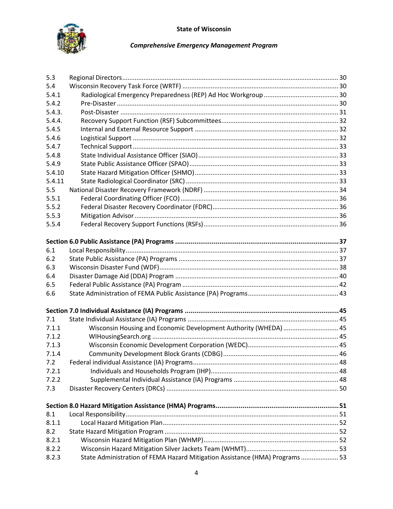

#### *Comprehensive Emergency Management Program*

| 5.3    |                                                                  |  |
|--------|------------------------------------------------------------------|--|
| 5.4    |                                                                  |  |
| 5.4.1  |                                                                  |  |
| 5.4.2  |                                                                  |  |
| 5.4.3. |                                                                  |  |
| 5.4.4. |                                                                  |  |
| 5.4.5  |                                                                  |  |
| 5.4.6  |                                                                  |  |
| 5.4.7  |                                                                  |  |
| 5.4.8  |                                                                  |  |
| 5.4.9  |                                                                  |  |
| 5.4.10 |                                                                  |  |
| 5.4.11 |                                                                  |  |
| 5.5    |                                                                  |  |
| 5.5.1  |                                                                  |  |
| 5.5.2  |                                                                  |  |
| 5.5.3  |                                                                  |  |
| 5.5.4  |                                                                  |  |
|        |                                                                  |  |
|        |                                                                  |  |
| 6.1    |                                                                  |  |
| 6.2    |                                                                  |  |
| 6.3    |                                                                  |  |
| 6.4    |                                                                  |  |
| 6.5    |                                                                  |  |
| 6.6    |                                                                  |  |
|        |                                                                  |  |
|        |                                                                  |  |
| 7.1    |                                                                  |  |
| 7.1.1  | Wisconsin Housing and Economic Development Authority (WHEDA)  45 |  |
| 7.1.2  |                                                                  |  |
| 7.1.3  |                                                                  |  |
| 7.1.4  |                                                                  |  |
| 7.2    |                                                                  |  |
| 7.2.1  |                                                                  |  |
| 7.2.2  |                                                                  |  |
| 7.3    |                                                                  |  |
|        |                                                                  |  |
|        |                                                                  |  |
| 8.1    |                                                                  |  |
| 8.1.1  |                                                                  |  |
| 8.2    |                                                                  |  |
| 8.2.1  |                                                                  |  |
| 8.2.2  |                                                                  |  |
| 8.2.3  |                                                                  |  |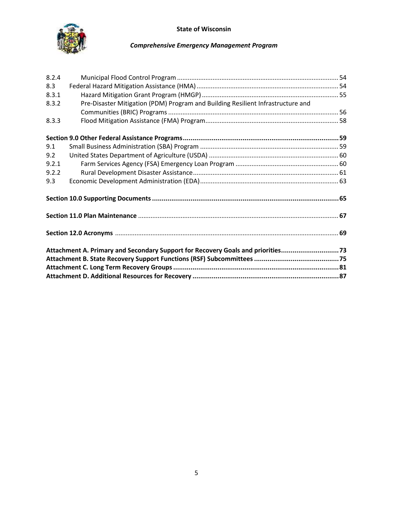

#### *Comprehensive Emergency Management Program*

| 8.2.4                                                                           |                                                                                 |  |  |  |  |
|---------------------------------------------------------------------------------|---------------------------------------------------------------------------------|--|--|--|--|
| 8.3                                                                             |                                                                                 |  |  |  |  |
| 8.3.1                                                                           |                                                                                 |  |  |  |  |
| 8.3.2                                                                           | Pre-Disaster Mitigation (PDM) Program and Building Resilient Infrastructure and |  |  |  |  |
|                                                                                 |                                                                                 |  |  |  |  |
| 8.3.3                                                                           |                                                                                 |  |  |  |  |
|                                                                                 |                                                                                 |  |  |  |  |
| 9.1                                                                             |                                                                                 |  |  |  |  |
| 9.2                                                                             |                                                                                 |  |  |  |  |
| 9.2.1                                                                           |                                                                                 |  |  |  |  |
| 9.2.2                                                                           |                                                                                 |  |  |  |  |
| 9.3                                                                             |                                                                                 |  |  |  |  |
|                                                                                 |                                                                                 |  |  |  |  |
|                                                                                 |                                                                                 |  |  |  |  |
|                                                                                 |                                                                                 |  |  |  |  |
| Attachment A. Primary and Secondary Support for Recovery Goals and priorities73 |                                                                                 |  |  |  |  |
|                                                                                 |                                                                                 |  |  |  |  |
|                                                                                 |                                                                                 |  |  |  |  |
|                                                                                 |                                                                                 |  |  |  |  |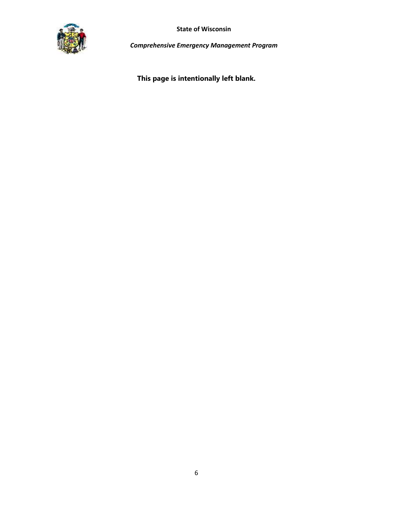

*Comprehensive Emergency Management Program*

**This page is intentionally left blank.**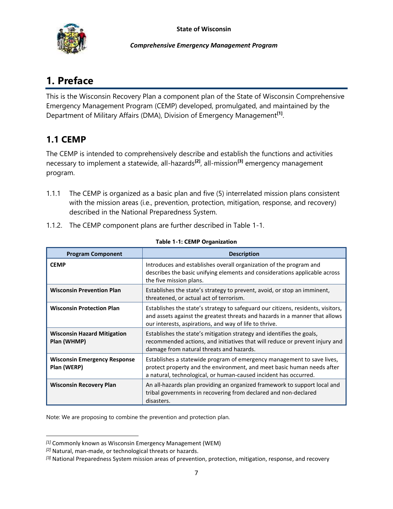

# **1. Preface**

This is the Wisconsin Recovery Plan a component plan of the State of Wisconsin Comprehensive Emergency Management Program (CEMP) developed, promulgated, and maintained by the Department of Military Affairs (DMA), Division of Emergency Management**[1]** .

# **1.1 CEMP**

The CEMP is intended to comprehensively describe and establish the functions and activities necessary to implement a statewide, all-hazards**[2]**, all-mission**[3]** emergency management program.

- 1.1.1 The CEMP is organized as a basic plan and five (5) interrelated mission plans consistent with the mission areas (i.e., prevention, protection, mitigation, response, and recovery) described in the National Preparedness System.
- 1.1.2. The CEMP component plans are further described in Table 1-1.

| <b>Program Component</b>                           | <b>Description</b>                                                                                                                                                                                                        |
|----------------------------------------------------|---------------------------------------------------------------------------------------------------------------------------------------------------------------------------------------------------------------------------|
| <b>CEMP</b>                                        | Introduces and establishes overall organization of the program and<br>describes the basic unifying elements and considerations applicable across<br>the five mission plans.                                               |
| <b>Wisconsin Prevention Plan</b>                   | Establishes the state's strategy to prevent, avoid, or stop an imminent,<br>threatened, or actual act of terrorism.                                                                                                       |
| <b>Wisconsin Protection Plan</b>                   | Establishes the state's strategy to safeguard our citizens, residents, visitors,<br>and assets against the greatest threats and hazards in a manner that allows<br>our interests, aspirations, and way of life to thrive. |
| <b>Wisconsin Hazard Mitigation</b><br>Plan (WHMP)  | Establishes the state's mitigation strategy and identifies the goals,<br>recommended actions, and initiatives that will reduce or prevent injury and<br>damage from natural threats and hazards.                          |
| <b>Wisconsin Emergency Response</b><br>Plan (WERP) | Establishes a statewide program of emergency management to save lives,<br>protect property and the environment, and meet basic human needs after<br>a natural, technological, or human-caused incident has occurred.      |
| <b>Wisconsin Recovery Plan</b>                     | An all-hazards plan providing an organized framework to support local and<br>tribal governments in recovering from declared and non-declared<br>disasters.                                                                |

#### **Table 1-1: CEMP Organization**

Note: We are proposing to combine the prevention and protection plan.

*<sup>[1]</sup>* Commonly known as Wisconsin Emergency Management (WEM)

*<sup>[2]</sup>* Natural, man-made, or technological threats or hazards.

*<sup>[3]</sup>* National Preparedness System mission areas of prevention, protection, mitigation, response, and recovery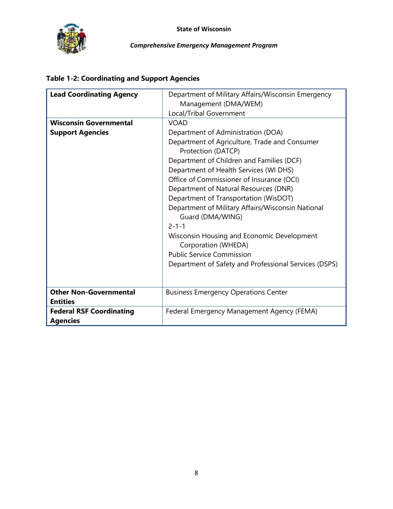

#### **Lead Coordinating Agency Department of Military Affairs/Wisconsin Emergency** Management (DMA/WEM) Local/Tribal Government **Wisconsin Governmental Support Agencies** VOAD Department of Administration (DOA) Department of Agriculture, Trade and Consumer Protection (DATCP) Department of Children and Families (DCF) Department of Health Services (WI DHS) Office of Commissioner of Insurance (OCI) Department of Natural Resources (DNR) Department of Transportation (WisDOT) Department of Military Affairs/Wisconsin National Guard (DMA/WING) 2-1-1 Wisconsin Housing and Economic Development Corporation (WHEDA) Public Service Commission Department of Safety and Professional Services (DSPS) **Other Non-Governmental Entities** Business Emergency Operations Center **Federal RSF Coordinating Agencies** Federal Emergency Management Agency (FEMA)

## **Table 1-2: Coordinating and Support Agencies**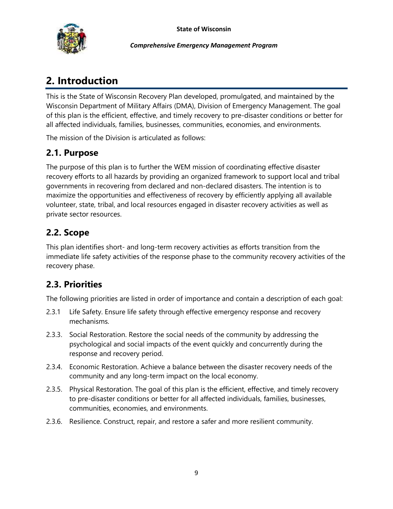

# **2. Introduction**

This is the State of Wisconsin Recovery Plan developed, promulgated, and maintained by the Wisconsin Department of Military Affairs (DMA), Division of Emergency Management. The goal of this plan is the efficient, effective, and timely recovery to pre-disaster conditions or better for all affected individuals, families, businesses, communities, economies, and environments.

The mission of the Division is articulated as follows:

## **2.1. Purpose**

The purpose of this plan is to further the WEM mission of coordinating effective disaster recovery efforts to all hazards by providing an organized framework to support local and tribal governments in recovering from declared and non-declared disasters. The intention is to maximize the opportunities and effectiveness of recovery by efficiently applying all available volunteer, state, tribal, and local resources engaged in disaster recovery activities as well as private sector resources.

# **2.2. Scope**

This plan identifies short- and long-term recovery activities as efforts transition from the immediate life safety activities of the response phase to the community recovery activities of the recovery phase.

# **2.3. Priorities**

The following priorities are listed in order of importance and contain a description of each goal:

- 2.3.1 Life Safety. Ensure life safety through effective emergency response and recovery mechanisms.
- 2.3.3. Social Restoration. Restore the social needs of the community by addressing the psychological and social impacts of the event quickly and concurrently during the response and recovery period.
- 2.3.4. Economic Restoration. Achieve a balance between the disaster recovery needs of the community and any long-term impact on the local economy.
- 2.3.5. Physical Restoration. The goal of this plan is the efficient, effective, and timely recovery to pre-disaster conditions or better for all affected individuals, families, businesses, communities, economies, and environments.
- 2.3.6. Resilience. Construct, repair, and restore a safer and more resilient community.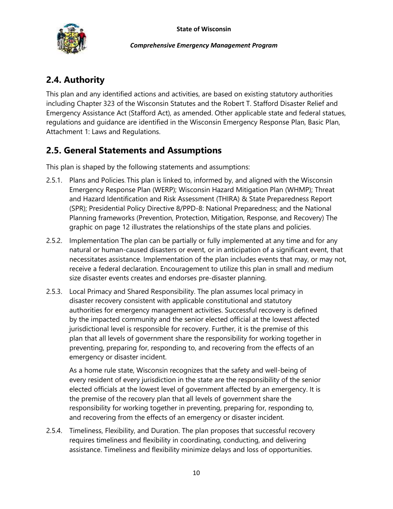

# **2.4. Authority**

This plan and any identified actions and activities, are based on existing statutory authorities including Chapter 323 of the Wisconsin Statutes and the Robert T. Stafford Disaster Relief and Emergency Assistance Act (Stafford Act), as amended. Other applicable state and federal statues, regulations and guidance are identified in the Wisconsin Emergency Response Plan, Basic Plan, Attachment 1: Laws and Regulations.

## **2.5. General Statements and Assumptions**

This plan is shaped by the following statements and assumptions:

- 2.5.1. Plans and Policies. This plan is linked to, informed by, and aligned with the Wisconsin Emergency Response Plan (WERP); Wisconsin Hazard Mitigation Plan (WHMP); Threat and Hazard Identification and Risk Assessment (THIRA) & State Preparedness Report (SPR); Presidential Policy Directive 8/PPD-8: National Preparedness; and the National Planning frameworks (Prevention, Protection, Mitigation, Response, and Recovery) The graphic on page 12 illustrates the relationships of the state plans and policies.
- 2.5.2. Implementation The plan can be partially or fully implemented at any time and for any natural or human-caused disasters or event, or in anticipation of a significant event, that necessitates assistance. Implementation of the plan includes events that may, or may not, receive a federal declaration. Encouragement to utilize this plan in small and medium size disaster events creates and endorses pre-disaster planning.
- 2.5.3. Local Primacy and Shared Responsibility. The plan assumes local primacy in disaster recovery consistent with applicable constitutional and statutory authorities for emergency management activities. Successful recovery is defined by the impacted community and the senior elected official at the lowest affected jurisdictional level is responsible for recovery. Further, it is the premise of this plan that all levels of government share the responsibility for working together in preventing, preparing for, responding to, and recovering from the effects of an emergency or disaster incident.

As a home rule state, Wisconsin recognizes that the safety and well-being of every resident of every jurisdiction in the state are the responsibility of the senior elected officials at the lowest level of government affected by an emergency. It is the premise of the recovery plan that all levels of government share the responsibility for working together in preventing, preparing for, responding to, and recovering from the effects of an emergency or disaster incident.

2.5.4. Timeliness, Flexibility, and Duration. The plan proposes that successful recovery requires timeliness and flexibility in coordinating, conducting, and delivering assistance. Timeliness and flexibility minimize delays and loss of opportunities.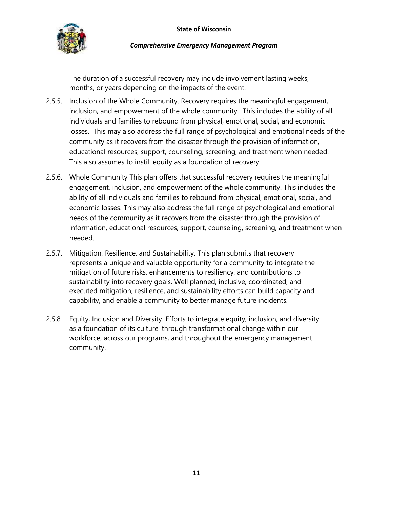

#### *Comprehensive Emergency Management Program*

The duration of a successful recovery may include involvement lasting weeks, months, or years depending on the impacts of the event.

- 2.5.5. Inclusion of the Whole Community. Recovery requires the meaningful engagement, inclusion, and empowerment of the whole community. This includes the ability of all individuals and families to rebound from physical, emotional, social, and economic losses. This may also address the full range of psychological and emotional needs of the community as it recovers from the disaster through the provision of information, educational resources, support, counseling, screening, and treatment when needed. This also assumes to instill equity as a foundation of recovery.
- 2.5.6. Whole Community This plan offers that successful recovery requires the meaningful engagement, inclusion, and empowerment of the whole community. This includes the ability of all individuals and families to rebound from physical, emotional, social, and economic losses. This may also address the full range of psychological and emotional needs of the community as it recovers from the disaster through the provision of information, educational resources, support, counseling, screening, and treatment when needed.
- 2.5.7. Mitigation, Resilience, and Sustainability. This plan submits that recovery represents a unique and valuable opportunity for a community to integrate the mitigation of future risks, enhancements to resiliency, and contributions to sustainability into recovery goals. Well planned, inclusive, coordinated, and executed mitigation, resilience, and sustainability efforts can build capacity and capability, and enable a community to better manage future incidents.
- 2.5.8 Equity, Inclusion and Diversity. Efforts to integrate equity, inclusion, and diversity as a foundation of its culture through transformational change within our workforce, across our programs, and throughout the emergency management community.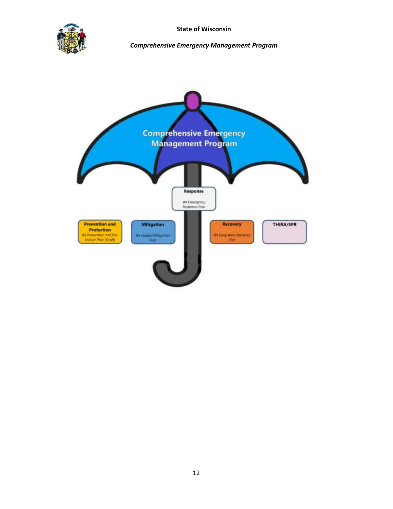

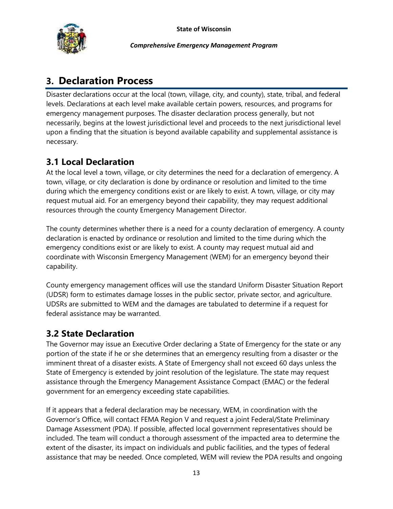

# **3. Declaration Process**

Disaster declarations occur at the local (town, village, city, and county), state, tribal, and federal levels. Declarations at each level make available certain powers, resources, and programs for emergency management purposes. The disaster declaration process generally, but not necessarily, begins at the lowest jurisdictional level and proceeds to the next jurisdictional level upon a finding that the situation is beyond available capability and supplemental assistance is necessary.

# **3.1 Local Declaration**

At the local level a town, village, or city determines the need for a declaration of emergency. A town, village, or city declaration is done by ordinance or resolution and limited to the time during which the emergency conditions exist or are likely to exist. A town, village, or city may request mutual aid. For an emergency beyond their capability, they may request additional resources through the county Emergency Management Director.

The county determines whether there is a need for a county declaration of emergency. A county declaration is enacted by ordinance or resolution and limited to the time during which the emergency conditions exist or are likely to exist. A county may request mutual aid and coordinate with Wisconsin Emergency Management (WEM) for an emergency beyond their capability.

County emergency management offices will use the standard Uniform Disaster Situation Report (UDSR) form to estimates damage losses in the public sector, private sector, and agriculture. UDSRs are submitted to WEM and the damages are tabulated to determine if a request for federal assistance may be warranted.

# **3.2 State Declaration**

The Governor may issue an Executive Order declaring a State of Emergency for the state or any portion of the state if he or she determines that an emergency resulting from a disaster or the imminent threat of a disaster exists. A State of Emergency shall not exceed 60 days unless the State of Emergency is extended by joint resolution of the legislature. The state may request assistance through the Emergency Management Assistance Compact (EMAC) or the federal government for an emergency exceeding state capabilities.

If it appears that a federal declaration may be necessary, WEM, in coordination with the Governor's Office, will contact FEMA Region V and request a joint Federal/State Preliminary Damage Assessment (PDA). If possible, affected local government representatives should be included. The team will conduct a thorough assessment of the impacted area to determine the extent of the disaster, its impact on individuals and public facilities, and the types of federal assistance that may be needed. Once completed, WEM will review the PDA results and ongoing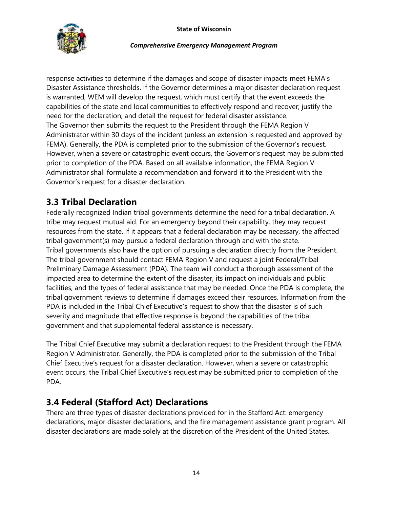

response activities to determine if the damages and scope of disaster impacts meet FEMA's Disaster Assistance thresholds. If the Governor determines a major disaster declaration request is warranted, WEM will develop the request, which must certify that the event exceeds the capabilities of the state and local communities to effectively respond and recover; justify the need for the declaration; and detail the request for federal disaster assistance. The Governor then submits the request to the President through the FEMA Region V Administrator within 30 days of the incident (unless an extension is requested and approved by FEMA). Generally, the PDA is completed prior to the submission of the Governor's request. However, when a severe or catastrophic event occurs, the Governor's request may be submitted prior to completion of the PDA. Based on all available information, the FEMA Region V Administrator shall formulate a recommendation and forward it to the President with the Governor's request for a disaster declaration.

## **3.3 Tribal Declaration**

Federally recognized Indian tribal governments determine the need for a tribal declaration. A tribe may request mutual aid. For an emergency beyond their capability, they may request resources from the state. If it appears that a federal declaration may be necessary, the affected tribal government(s) may pursue a federal declaration through and with the state. Tribal governments also have the option of pursuing a declaration directly from the President. The tribal government should contact FEMA Region V and request a joint Federal/Tribal Preliminary Damage Assessment (PDA). The team will conduct a thorough assessment of the impacted area to determine the extent of the disaster, its impact on individuals and public facilities, and the types of federal assistance that may be needed. Once the PDA is complete, the tribal government reviews to determine if damages exceed their resources. Information from the PDA is included in the Tribal Chief Executive's request to show that the disaster is of such severity and magnitude that effective response is beyond the capabilities of the tribal government and that supplemental federal assistance is necessary.

The Tribal Chief Executive may submit a declaration request to the President through the FEMA Region V Administrator. Generally, the PDA is completed prior to the submission of the Tribal Chief Executive's request for a disaster declaration. However, when a severe or catastrophic event occurs, the Tribal Chief Executive's request may be submitted prior to completion of the PDA.

# **3.4 Federal (Stafford Act) Declarations**

There are three types of disaster declarations provided for in the Stafford Act: emergency declarations, major disaster declarations, and the fire management assistance grant program. All disaster declarations are made solely at the discretion of the President of the United States.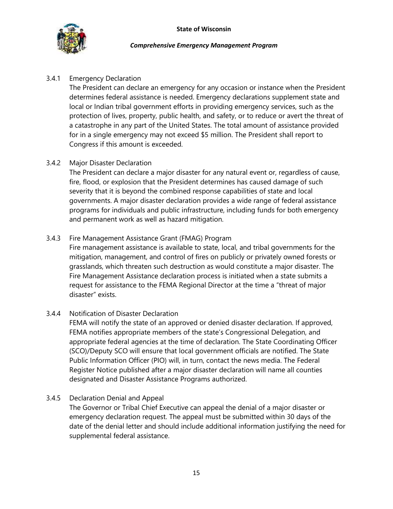

#### *Comprehensive Emergency Management Program*

## 3.4.1 Emergency Declaration

The President can declare an emergency for any occasion or instance when the President determines federal assistance is needed. Emergency declarations supplement state and local or Indian tribal government efforts in providing emergency services, such as the protection of lives, property, public health, and safety, or to reduce or avert the threat of a catastrophe in any part of the United States. The total amount of assistance provided for in a single emergency may not exceed \$5 million. The President shall report to Congress if this amount is exceeded.

## 3.4.2 Major Disaster Declaration

The President can declare a major disaster for any natural event or, regardless of cause, fire, flood, or explosion that the President determines has caused damage of such severity that it is beyond the combined response capabilities of state and local governments. A major disaster declaration provides a wide range of federal assistance programs for individuals and public infrastructure, including funds for both emergency and permanent work as well as hazard mitigation.

## 3.4.3 Fire Management Assistance Grant (FMAG) Program

Fire management assistance is available to state, local, and tribal governments for the mitigation, management, and control of fires on publicly or privately owned forests or grasslands, which threaten such destruction as would constitute a major disaster. The Fire Management Assistance declaration process is initiated when a state submits a request for assistance to the FEMA Regional Director at the time a "threat of major disaster" exists.

## 3.4.4 Notification of Disaster Declaration

FEMA will notify the state of an approved or denied disaster declaration. If approved, FEMA notifies appropriate members of the state's Congressional Delegation, and appropriate federal agencies at the time of declaration. The State Coordinating Officer (SCO)/Deputy SCO will ensure that local government officials are notified. The State Public Information Officer (PIO) will, in turn, contact the news media. The Federal Register Notice published after a major disaster declaration will name all counties designated and Disaster Assistance Programs authorized.

#### 3.4.5 Declaration Denial and Appeal

The Governor or Tribal Chief Executive can appeal the denial of a major disaster or emergency declaration request. The appeal must be submitted within 30 days of the date of the denial letter and should include additional information justifying the need for supplemental federal assistance.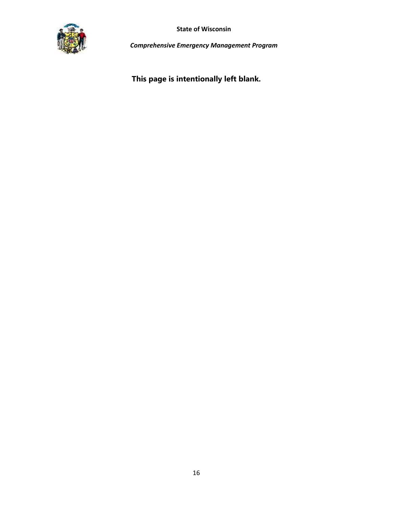

*Comprehensive Emergency Management Program*

**This page is intentionally left blank.**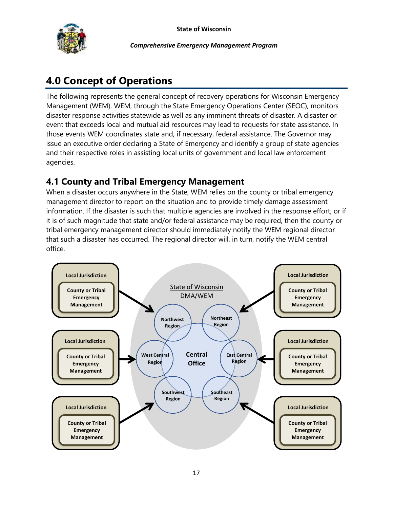

# **4.0 Concept of Operations**

The following represents the general concept of recovery operations for Wisconsin Emergency Management (WEM). WEM, through the State Emergency Operations Center (SEOC), monitors disaster response activities statewide as well as any imminent threats of disaster. A disaster or event that exceeds local and mutual aid resources may lead to requests for state assistance. In those events WEM coordinates state and, if necessary, federal assistance. The Governor may issue an executive order declaring a State of Emergency and identify a group of state agencies and their respective roles in assisting local units of government and local law enforcement agencies.

# **4.1 County and Tribal Emergency Management**

When a disaster occurs anywhere in the State, WEM relies on the county or tribal emergency management director to report on the situation and to provide timely damage assessment information. If the disaster is such that multiple agencies are involved in the response effort, or if it is of such magnitude that state and/or federal assistance may be required, then the county or tribal emergency management director should immediately notify the WEM regional director that such a disaster has occurred. The regional director will, in turn, notify the WEM central office.

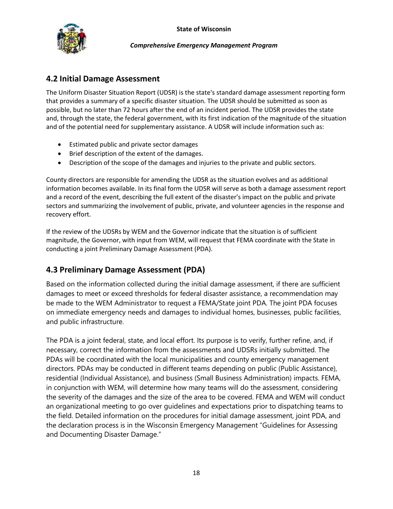

## **4.2 Initial Damage Assessment**

The Uniform Disaster Situation Report (UDSR) is the state's standard damage assessment reporting form that provides a summary of a specific disaster situation. The UDSR should be submitted as soon as possible, but no later than 72 hours after the end of an incident period. The UDSR provides the state and, through the state, the federal government, with its first indication of the magnitude of the situation and of the potential need for supplementary assistance. A UDSR will include information such as:

- Estimated public and private sector damages
- Brief description of the extent of the damages.
- Description of the scope of the damages and injuries to the private and public sectors.

County directors are responsible for amending the UDSR as the situation evolves and as additional information becomes available. In its final form the UDSR will serve as both a damage assessment report and a record of the event, describing the full extent of the disaster's impact on the public and private sectors and summarizing the involvement of public, private, and volunteer agencies in the response and recovery effort.

If the review of the UDSRs by WEM and the Governor indicate that the situation is of sufficient magnitude, the Governor, with input from WEM, will request that FEMA coordinate with the State in conducting a joint Preliminary Damage Assessment (PDA).

## **4.3 Preliminary Damage Assessment (PDA)**

Based on the information collected during the initial damage assessment, if there are sufficient damages to meet or exceed thresholds for federal disaster assistance, a recommendation may be made to the WEM Administrator to request a FEMA/State joint PDA. The joint PDA focuses on immediate emergency needs and damages to individual homes, businesses, public facilities, and public infrastructure.

The PDA is a joint federal, state, and local effort. Its purpose is to verify, further refine, and, if necessary, correct the information from the assessments and UDSRs initially submitted. The PDAs will be coordinated with the local municipalities and county emergency management directors. PDAs may be conducted in different teams depending on public (Public Assistance), residential (Individual Assistance), and business (Small Business Administration) impacts. FEMA, in conjunction with WEM, will determine how many teams will do the assessment, considering the severity of the damages and the size of the area to be covered. FEMA and WEM will conduct an organizational meeting to go over guidelines and expectations prior to dispatching teams to the field. Detailed information on the procedures for initial damage assessment, joint PDA, and the declaration process is in the Wisconsin Emergency Management "Guidelines for Assessing and Documenting Disaster Damage."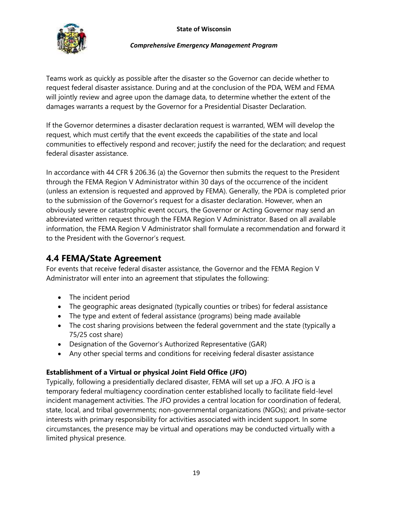

#### *Comprehensive Emergency Management Program*

Teams work as quickly as possible after the disaster so the Governor can decide whether to request federal disaster assistance. During and at the conclusion of the PDA, WEM and FEMA will jointly review and agree upon the damage data, to determine whether the extent of the damages warrants a request by the Governor for a Presidential Disaster Declaration.

If the Governor determines a disaster declaration request is warranted, WEM will develop the request, which must certify that the event exceeds the capabilities of the state and local communities to effectively respond and recover; justify the need for the declaration; and request federal disaster assistance.

In accordance with 44 CFR § 206.36 (a) the Governor then submits the request to the President through the FEMA Region V Administrator within 30 days of the occurrence of the incident (unless an extension is requested and approved by FEMA). Generally, the PDA is completed prior to the submission of the Governor's request for a disaster declaration. However, when an obviously severe or catastrophic event occurs, the Governor or Acting Governor may send an abbreviated written request through the FEMA Region V Administrator. Based on all available information, the FEMA Region V Administrator shall formulate a recommendation and forward it to the President with the Governor's request.

# **4.4 FEMA/State Agreement**

For events that receive federal disaster assistance, the Governor and the FEMA Region V Administrator will enter into an agreement that stipulates the following:

- The incident period
- The geographic areas designated (typically counties or tribes) for federal assistance
- The type and extent of federal assistance (programs) being made available
- The cost sharing provisions between the federal government and the state (typically a 75/25 cost share)
- Designation of the Governor's Authorized Representative (GAR)
- Any other special terms and conditions for receiving federal disaster assistance

## **Establishment of a Virtual or physical Joint Field Office (JFO)**

Typically, following a presidentially declared disaster, FEMA will set up a JFO. A JFO is a temporary federal multiagency coordination center established locally to facilitate field-level incident management activities. The JFO provides a central location for coordination of federal, state, local, and tribal governments; non-governmental organizations (NGOs); and private-sector interests with primary responsibility for activities associated with incident support. In some circumstances, the presence may be virtual and operations may be conducted virtually with a limited physical presence.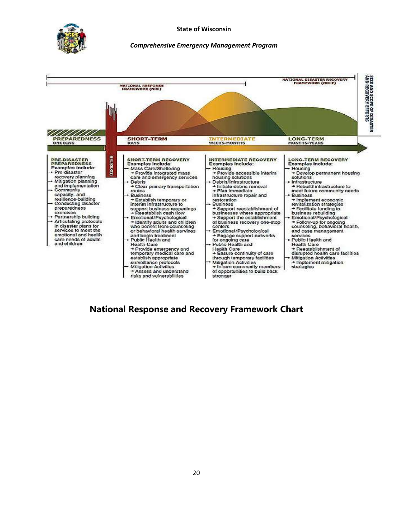



## **National Response and Recovery Framework Chart**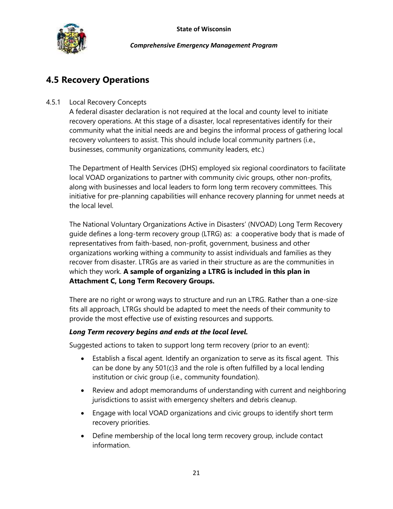

# **4.5 Recovery Operations**

## 4.5.1 Local Recovery Concepts

A federal disaster declaration is not required at the local and county level to initiate recovery operations. At this stage of a disaster, local representatives identify for their community what the initial needs are and begins the informal process of gathering local recovery volunteers to assist. This should include local community partners (i.e., businesses, community organizations, community leaders, etc.)

The Department of Health Services (DHS) employed six regional coordinators to facilitate local VOAD organizations to partner with community civic groups, other non-profits, along with businesses and local leaders to form long term recovery committees. This initiative for pre-planning capabilities will enhance recovery planning for unmet needs at the local level.

The National Voluntary Organizations Active in Disasters' (NVOAD) Long Term Recovery guide defines a long-term recovery group (LTRG) as: a cooperative body that is made of representatives from faith-based, non-profit, government, business and other organizations working withing a community to assist individuals and families as they recover from disaster. LTRGs are as varied in their structure as are the communities in which they work. **A sample of organizing a LTRG is included in this plan in Attachment C, Long Term Recovery Groups.**

There are no right or wrong ways to structure and run an LTRG. Rather than a one-size fits all approach, LTRGs should be adapted to meet the needs of their community to provide the most effective use of existing resources and supports.

## *Long Term recovery begins and ends at the local level.*

Suggested actions to taken to support long term recovery (prior to an event):

- Establish a fiscal agent. Identify an organization to serve as its fiscal agent. This can be done by any 501(c)3 and the role is often fulfilled by a local lending institution or civic group (i.e., community foundation).
- Review and adopt memorandums of understanding with current and neighboring jurisdictions to assist with emergency shelters and debris cleanup.
- Engage with local VOAD organizations and civic groups to identify short term recovery priorities.
- Define membership of the local long term recovery group, include contact information.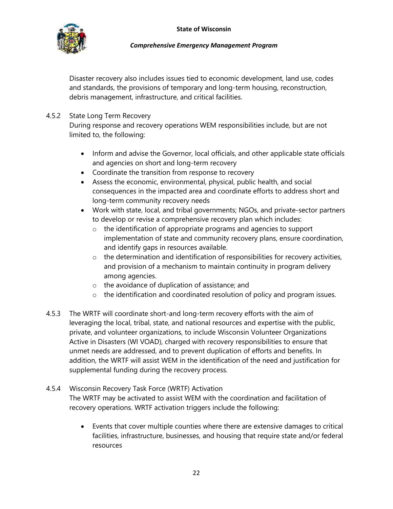

#### *Comprehensive Emergency Management Program*

Disaster recovery also includes issues tied to economic development, land use, codes and standards, the provisions of temporary and long-term housing, reconstruction, debris management, infrastructure, and critical facilities.

## 4.5.2 State Long Term Recovery

During response and recovery operations WEM responsibilities include, but are not limited to, the following:

- Inform and advise the Governor, local officials, and other applicable state officials and agencies on short and long-term recovery
- Coordinate the transition from response to recovery
- Assess the economic, environmental, physical, public health, and social consequences in the impacted area and coordinate efforts to address short and long-term community recovery needs
- Work with state, local, and tribal governments; NGOs, and private-sector partners to develop or revise a comprehensive recovery plan which includes:
	- o the identification of appropriate programs and agencies to support implementation of state and community recovery plans, ensure coordination, and identify gaps in resources available.
	- o the determination and identification of responsibilities for recovery activities, and provision of a mechanism to maintain continuity in program delivery among agencies.
	- o the avoidance of duplication of assistance; and
	- o the identification and coordinated resolution of policy and program issues.
- 4.5.3 The WRTF will coordinate short-and long-term recovery efforts with the aim of leveraging the local, tribal, state, and national resources and expertise with the public, private, and volunteer organizations, to include Wisconsin Volunteer Organizations Active in Disasters (WI VOAD), charged with recovery responsibilities to ensure that unmet needs are addressed, and to prevent duplication of efforts and benefits. In addition, the WRTF will assist WEM in the identification of the need and justification for supplemental funding during the recovery process.

## 4.5.4 Wisconsin Recovery Task Force (WRTF) Activation The WRTF may be activated to assist WEM with the coordination and facilitation of recovery operations. WRTF activation triggers include the following:

• Events that cover multiple counties where there are extensive damages to critical facilities, infrastructure, businesses, and housing that require state and/or federal resources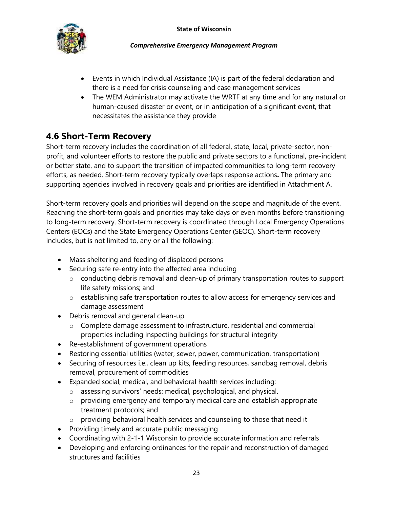

- Events in which Individual Assistance (IA) is part of the federal declaration and there is a need for crisis counseling and case management services
- The WEM Administrator may activate the WRTF at any time and for any natural or human-caused disaster or event, or in anticipation of a significant event, that necessitates the assistance they provide

# **4.6 Short-Term Recovery**

Short-term recovery includes the coordination of all federal, state, local, private-sector, nonprofit, and volunteer efforts to restore the public and private sectors to a functional, pre-incident or better state, and to support the transition of impacted communities to long-term recovery efforts, as needed. Short-term recovery typically overlaps response actions**.** The primary and supporting agencies involved in recovery goals and priorities are identified in Attachment A.

Short-term recovery goals and priorities will depend on the scope and magnitude of the event. Reaching the short-term goals and priorities may take days or even months before transitioning to long-term recovery. Short-term recovery is coordinated through Local Emergency Operations Centers (EOCs) and the State Emergency Operations Center (SEOC). Short-term recovery includes, but is not limited to, any or all the following:

- Mass sheltering and feeding of displaced persons
- Securing safe re-entry into the affected area including
	- o conducting debris removal and clean-up of primary transportation routes to support life safety missions; and
	- o establishing safe transportation routes to allow access for emergency services and damage assessment
- Debris removal and general clean-up
	- o Complete damage assessment to infrastructure, residential and commercial properties including inspecting buildings for structural integrity
- Re-establishment of government operations
- Restoring essential utilities (water, sewer, power, communication, transportation)
- Securing of resources i.e., clean up kits, feeding resources, sandbag removal, debris removal, procurement of commodities
- Expanded social, medical, and behavioral health services including:
	- o assessing survivors' needs: medical, psychological, and physical.
	- o providing emergency and temporary medical care and establish appropriate treatment protocols; and
	- o providing behavioral health services and counseling to those that need it
- Providing timely and accurate public messaging
- Coordinating with 2-1-1 Wisconsin to provide accurate information and referrals
- Developing and enforcing ordinances for the repair and reconstruction of damaged structures and facilities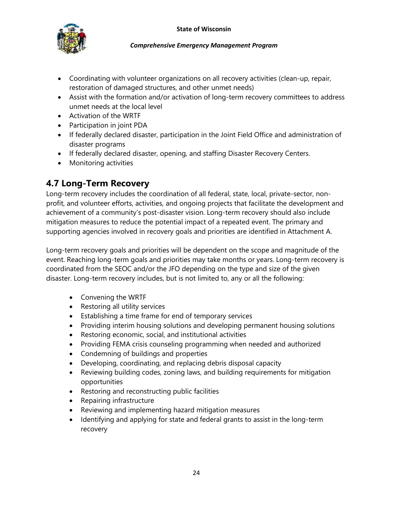

*Comprehensive Emergency Management Program*

- Coordinating with volunteer organizations on all recovery activities (clean-up, repair, restoration of damaged structures, and other unmet needs)
- Assist with the formation and/or activation of long-term recovery committees to address unmet needs at the local level
- Activation of the WRTF
- Participation in joint PDA
- If federally declared disaster, participation in the Joint Field Office and administration of disaster programs
- If federally declared disaster, opening, and staffing Disaster Recovery Centers.
- Monitoring activities

## **4.7 Long-Term Recovery**

Long-term recovery includes the coordination of all federal, state, local, private-sector, nonprofit, and volunteer efforts, activities, and ongoing projects that facilitate the development and achievement of a community's post-disaster vision. Long-term recovery should also include mitigation measures to reduce the potential impact of a repeated event. The primary and supporting agencies involved in recovery goals and priorities are identified in Attachment A.

Long-term recovery goals and priorities will be dependent on the scope and magnitude of the event. Reaching long-term goals and priorities may take months or years. Long-term recovery is coordinated from the SEOC and/or the JFO depending on the type and size of the given disaster. Long-term recovery includes, but is not limited to, any or all the following:

- Convening the WRTF
- Restoring all utility services
- Establishing a time frame for end of temporary services
- Providing interim housing solutions and developing permanent housing solutions
- Restoring economic, social, and institutional activities
- Providing FEMA crisis counseling programming when needed and authorized
- Condemning of buildings and properties
- Developing, coordinating, and replacing debris disposal capacity
- Reviewing building codes, zoning laws, and building requirements for mitigation opportunities
- Restoring and reconstructing public facilities
- Repairing infrastructure
- Reviewing and implementing hazard mitigation measures
- Identifying and applying for state and federal grants to assist in the long-term recovery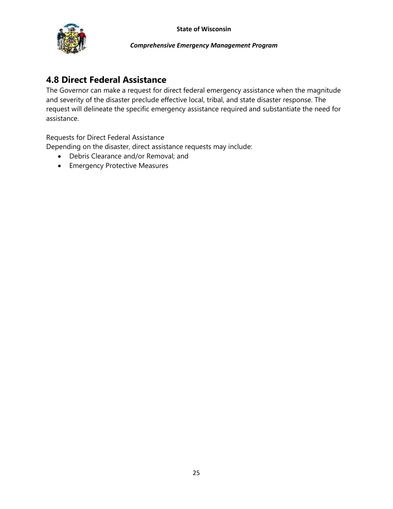

*Comprehensive Emergency Management Program*

## **4.8 Direct Federal Assistance**

The Governor can make a request for direct federal emergency assistance when the magnitude and severity of the disaster preclude effective local, tribal, and state disaster response. The request will delineate the specific emergency assistance required and substantiate the need for assistance.

Requests for Direct Federal Assistance

Depending on the disaster, direct assistance requests may include:

- Debris Clearance and/or Removal; and
- Emergency Protective Measures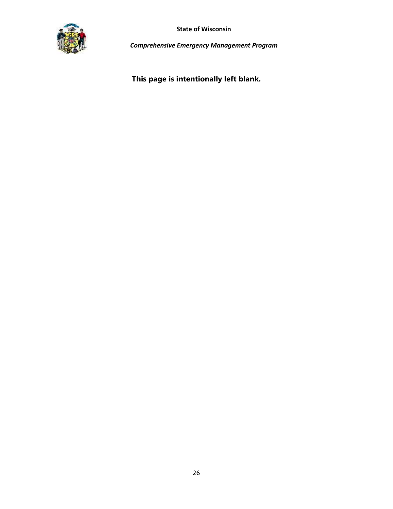

*Comprehensive Emergency Management Program*

**This page is intentionally left blank.**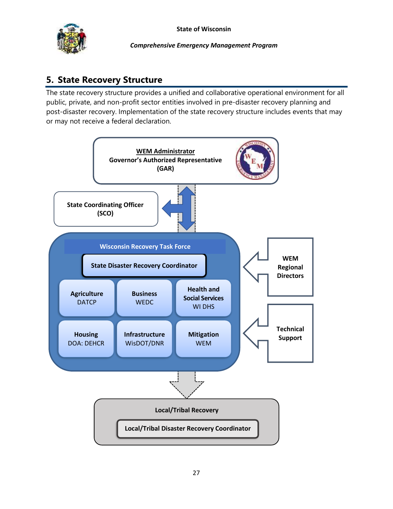

# **5. State Recovery Structure**

The state recovery structure provides a unified and collaborative operational environment for all public, private, and non-profit sector entities involved in pre-disaster recovery planning and post-disaster recovery. Implementation of the state recovery structure includes events that may or may not receive a federal declaration.

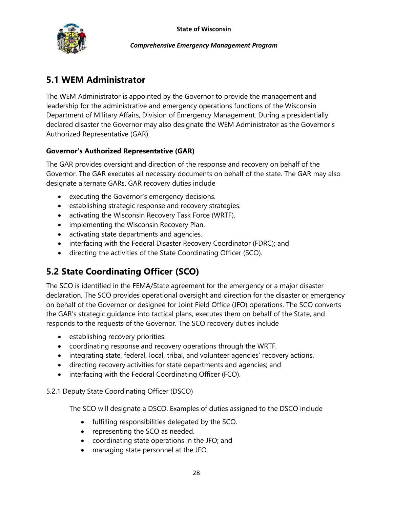

*Comprehensive Emergency Management Program*

# **5.1 WEM Administrator**

The WEM Administrator is appointed by the Governor to provide the management and leadership for the administrative and emergency operations functions of the Wisconsin Department of Military Affairs, Division of Emergency Management. During a presidentially declared disaster the Governor may also designate the WEM Administrator as the Governor's Authorized Representative (GAR).

## **Governor's Authorized Representative (GAR)**

The GAR provides oversight and direction of the response and recovery on behalf of the Governor. The GAR executes all necessary documents on behalf of the state. The GAR may also designate alternate GARs. GAR recovery duties include

- executing the Governor's emergency decisions.
- establishing strategic response and recovery strategies.
- activating the Wisconsin Recovery Task Force (WRTF).
- implementing the Wisconsin Recovery Plan.
- activating state departments and agencies.
- interfacing with the Federal Disaster Recovery Coordinator (FDRC); and
- directing the activities of the State Coordinating Officer (SCO).

# **5.2 State Coordinating Officer (SCO)**

The SCO is identified in the FEMA/State agreement for the emergency or a major disaster declaration. The SCO provides operational oversight and direction for the disaster or emergency on behalf of the Governor or designee for Joint Field Office (JFO) operations. The SCO converts the GAR's strategic guidance into tactical plans, executes them on behalf of the State, and responds to the requests of the Governor. The SCO recovery duties include

- establishing recovery priorities.
- coordinating response and recovery operations through the WRTF.
- integrating state, federal, local, tribal, and volunteer agencies' recovery actions.
- directing recovery activities for state departments and agencies; and
- interfacing with the Federal Coordinating Officer (FCO).

## 5.2.1 Deputy State Coordinating Officer (DSCO)

The SCO will designate a DSCO. Examples of duties assigned to the DSCO include

- fulfilling responsibilities delegated by the SCO.
- representing the SCO as needed.
- coordinating state operations in the JFO; and
- managing state personnel at the JFO.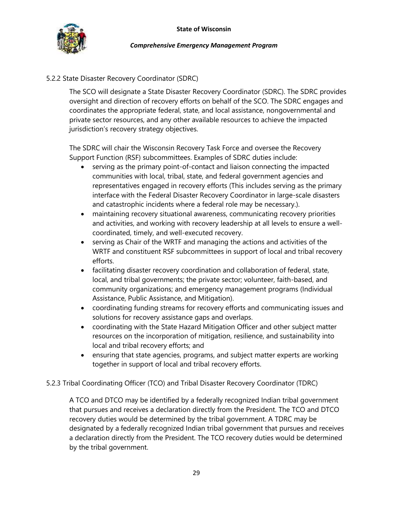

#### *Comprehensive Emergency Management Program*

## 5.2.2 State Disaster Recovery Coordinator (SDRC)

The SCO will designate a State Disaster Recovery Coordinator (SDRC). The SDRC provides oversight and direction of recovery efforts on behalf of the SCO. The SDRC engages and coordinates the appropriate federal, state, and local assistance, nongovernmental and private sector resources, and any other available resources to achieve the impacted jurisdiction's recovery strategy objectives.

The SDRC will chair the Wisconsin Recovery Task Force and oversee the Recovery Support Function (RSF) subcommittees. Examples of SDRC duties include:

- serving as the primary point-of-contact and liaison connecting the impacted communities with local, tribal, state, and federal government agencies and representatives engaged in recovery efforts (This includes serving as the primary interface with the Federal Disaster Recovery Coordinator in large-scale disasters and catastrophic incidents where a federal role may be necessary.).
- maintaining recovery situational awareness, communicating recovery priorities and activities, and working with recovery leadership at all levels to ensure a wellcoordinated, timely, and well-executed recovery.
- serving as Chair of the WRTF and managing the actions and activities of the WRTF and constituent RSF subcommittees in support of local and tribal recovery efforts.
- facilitating disaster recovery coordination and collaboration of federal, state, local, and tribal governments; the private sector; volunteer, faith-based, and community organizations; and emergency management programs (Individual Assistance, Public Assistance, and Mitigation).
- coordinating funding streams for recovery efforts and communicating issues and solutions for recovery assistance gaps and overlaps.
- coordinating with the State Hazard Mitigation Officer and other subject matter resources on the incorporation of mitigation, resilience, and sustainability into local and tribal recovery efforts; and
- ensuring that state agencies, programs, and subject matter experts are working together in support of local and tribal recovery efforts.

## 5.2.3 Tribal Coordinating Officer (TCO) and Tribal Disaster Recovery Coordinator (TDRC)

A TCO and DTCO may be identified by a federally recognized Indian tribal government that pursues and receives a declaration directly from the President. The TCO and DTCO recovery duties would be determined by the tribal government. A TDRC may be designated by a federally recognized Indian tribal government that pursues and receives a declaration directly from the President. The TCO recovery duties would be determined by the tribal government.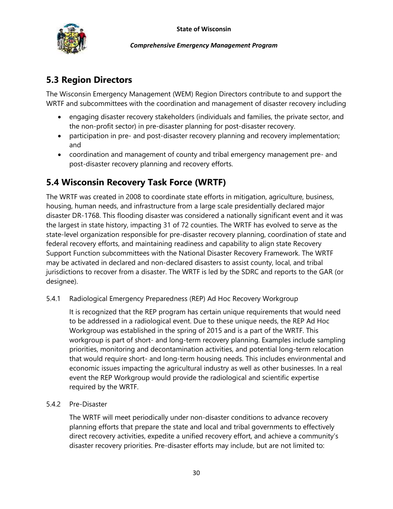

# **5.3 Region Directors**

The Wisconsin Emergency Management (WEM) Region Directors contribute to and support the WRTF and subcommittees with the coordination and management of disaster recovery including

- engaging disaster recovery stakeholders (individuals and families, the private sector, and the non-profit sector) in pre-disaster planning for post-disaster recovery.
- participation in pre- and post-disaster recovery planning and recovery implementation; and
- coordination and management of county and tribal emergency management pre- and post-disaster recovery planning and recovery efforts.

# **5.4 Wisconsin Recovery Task Force (WRTF)**

The WRTF was created in 2008 to coordinate state efforts in mitigation, agriculture, business, housing, human needs, and infrastructure from a large scale presidentially declared major disaster DR-1768. This flooding disaster was considered a nationally significant event and it was the largest in state history, impacting 31 of 72 counties. The WRTF has evolved to serve as the state-level organization responsible for pre-disaster recovery planning, coordination of state and federal recovery efforts, and maintaining readiness and capability to align state Recovery Support Function subcommittees with the National Disaster Recovery Framework. The WRTF may be activated in declared and non-declared disasters to assist county, local, and tribal jurisdictions to recover from a disaster. The WRTF is led by the SDRC and reports to the GAR (or designee).

## 5.4.1 Radiological Emergency Preparedness (REP) Ad Hoc Recovery Workgroup

It is recognized that the REP program has certain unique requirements that would need to be addressed in a radiological event. Due to these unique needs, the REP Ad Hoc Workgroup was established in the spring of 2015 and is a part of the WRTF. This workgroup is part of short- and long-term recovery planning. Examples include sampling priorities, monitoring and decontamination activities, and potential long-term relocation that would require short- and long-term housing needs. This includes environmental and economic issues impacting the agricultural industry as well as other businesses. In a real event the REP Workgroup would provide the radiological and scientific expertise required by the WRTF.

## 5.4.2 Pre-Disaster

The WRTF will meet periodically under non-disaster conditions to advance recovery planning efforts that prepare the state and local and tribal governments to effectively direct recovery activities, expedite a unified recovery effort, and achieve a community's disaster recovery priorities. Pre-disaster efforts may include, but are not limited to: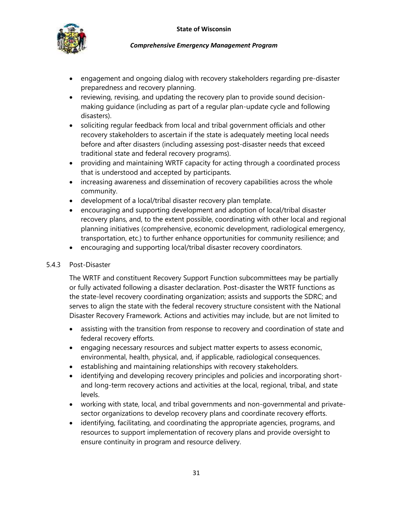

*Comprehensive Emergency Management Program*

- engagement and ongoing dialog with recovery stakeholders regarding pre-disaster preparedness and recovery planning.
- reviewing, revising, and updating the recovery plan to provide sound decisionmaking guidance (including as part of a regular plan-update cycle and following disasters).
- soliciting regular feedback from local and tribal government officials and other recovery stakeholders to ascertain if the state is adequately meeting local needs before and after disasters (including assessing post-disaster needs that exceed traditional state and federal recovery programs).
- providing and maintaining WRTF capacity for acting through a coordinated process that is understood and accepted by participants.
- increasing awareness and dissemination of recovery capabilities across the whole community.
- development of a local/tribal disaster recovery plan template.
- encouraging and supporting development and adoption of local/tribal disaster recovery plans, and, to the extent possible, coordinating with other local and regional planning initiatives (comprehensive, economic development, radiological emergency, transportation, etc.) to further enhance opportunities for community resilience; and
- encouraging and supporting local/tribal disaster recovery coordinators.

## 5.4.3 Post-Disaster

The WRTF and constituent Recovery Support Function subcommittees may be partially or fully activated following a disaster declaration. Post-disaster the WRTF functions as the state-level recovery coordinating organization; assists and supports the SDRC; and serves to align the state with the federal recovery structure consistent with the National Disaster Recovery Framework. Actions and activities may include, but are not limited to

- assisting with the transition from response to recovery and coordination of state and federal recovery efforts.
- engaging necessary resources and subject matter experts to assess economic, environmental, health, physical, and, if applicable, radiological consequences.
- establishing and maintaining relationships with recovery stakeholders.
- identifying and developing recovery principles and policies and incorporating shortand long-term recovery actions and activities at the local, regional, tribal, and state levels.
- working with state, local, and tribal governments and non-governmental and privatesector organizations to develop recovery plans and coordinate recovery efforts.
- identifying, facilitating, and coordinating the appropriate agencies, programs, and resources to support implementation of recovery plans and provide oversight to ensure continuity in program and resource delivery.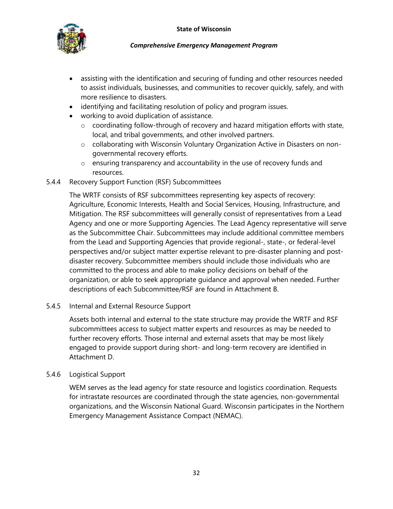

*Comprehensive Emergency Management Program*

- assisting with the identification and securing of funding and other resources needed to assist individuals, businesses, and communities to recover quickly, safely, and with more resilience to disasters.
- identifying and facilitating resolution of policy and program issues.
- working to avoid duplication of assistance.
	- $\circ$  coordinating follow-through of recovery and hazard mitigation efforts with state, local, and tribal governments, and other involved partners.
	- o collaborating with Wisconsin Voluntary Organization Active in Disasters on nongovernmental recovery efforts.
	- $\circ$  ensuring transparency and accountability in the use of recovery funds and resources.
- 5.4.4 Recovery Support Function (RSF) Subcommittees

The WRTF consists of RSF subcommittees representing key aspects of recovery: Agriculture, Economic Interests, Health and Social Services, Housing, Infrastructure, and Mitigation. The RSF subcommittees will generally consist of representatives from a Lead Agency and one or more Supporting Agencies. The Lead Agency representative will serve as the Subcommittee Chair. Subcommittees may include additional committee members from the Lead and Supporting Agencies that provide regional-, state-, or federal-level perspectives and/or subject matter expertise relevant to pre-disaster planning and postdisaster recovery. Subcommittee members should include those individuals who are committed to the process and able to make policy decisions on behalf of the organization, or able to seek appropriate guidance and approval when needed. Further descriptions of each Subcommittee/RSF are found in Attachment B.

5.4.5 Internal and External Resource Support

Assets both internal and external to the state structure may provide the WRTF and RSF subcommittees access to subject matter experts and resources as may be needed to further recovery efforts. Those internal and external assets that may be most likely engaged to provide support during short- and long-term recovery are identified in Attachment D.

## 5.4.6 Logistical Support

WEM serves as the lead agency for state resource and logistics coordination. Requests for intrastate resources are coordinated through the state agencies, non-governmental organizations, and the Wisconsin National Guard. Wisconsin participates in the Northern Emergency Management Assistance Compact (NEMAC).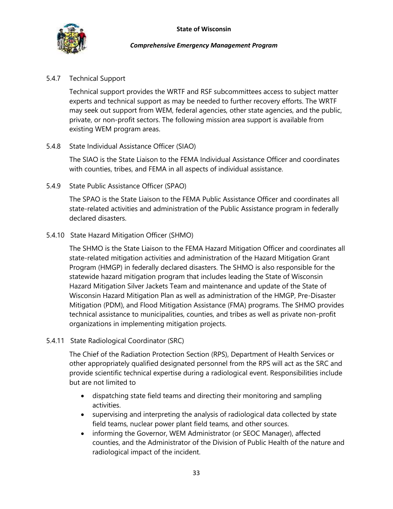

## 5.4.7 Technical Support

Technical support provides the WRTF and RSF subcommittees access to subject matter experts and technical support as may be needed to further recovery efforts. The WRTF may seek out support from WEM, federal agencies, other state agencies, and the public, private, or non-profit sectors. The following mission area support is available from existing WEM program areas.

## 5.4.8 State Individual Assistance Officer (SIAO)

The SIAO is the State Liaison to the FEMA Individual Assistance Officer and coordinates with counties, tribes, and FEMA in all aspects of individual assistance.

5.4.9 State Public Assistance Officer (SPAO)

The SPAO is the State Liaison to the FEMA Public Assistance Officer and coordinates all state-related activities and administration of the Public Assistance program in federally declared disasters.

## 5.4.10 State Hazard Mitigation Officer (SHMO)

The SHMO is the State Liaison to the FEMA Hazard Mitigation Officer and coordinates all state-related mitigation activities and administration of the Hazard Mitigation Grant Program (HMGP) in federally declared disasters. The SHMO is also responsible for the statewide hazard mitigation program that includes leading the State of Wisconsin Hazard Mitigation Silver Jackets Team and maintenance and update of the State of Wisconsin Hazard Mitigation Plan as well as administration of the HMGP, Pre-Disaster Mitigation (PDM), and Flood Mitigation Assistance (FMA) programs. The SHMO provides technical assistance to municipalities, counties, and tribes as well as private non-profit organizations in implementing mitigation projects.

## 5.4.11 State Radiological Coordinator (SRC)

The Chief of the Radiation Protection Section (RPS), Department of Health Services or other appropriately qualified designated personnel from the RPS will act as the SRC and provide scientific technical expertise during a radiological event. Responsibilities include but are not limited to

- dispatching state field teams and directing their monitoring and sampling activities.
- supervising and interpreting the analysis of radiological data collected by state field teams, nuclear power plant field teams, and other sources.
- informing the Governor, WEM Administrator (or SEOC Manager), affected counties, and the Administrator of the Division of Public Health of the nature and radiological impact of the incident.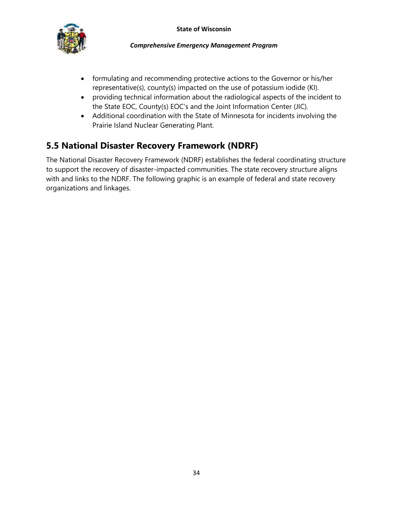

- formulating and recommending protective actions to the Governor or his/her representative(s), county(s) impacted on the use of potassium iodide (KI).
- providing technical information about the radiological aspects of the incident to the State EOC, County(s) EOC's and the Joint Information Center (JIC).
- Additional coordination with the State of Minnesota for incidents involving the Prairie Island Nuclear Generating Plant.

# **5.5 National Disaster Recovery Framework (NDRF)**

The National Disaster Recovery Framework (NDRF) establishes the federal coordinating structure to support the recovery of disaster-impacted communities. The state recovery structure aligns with and links to the NDRF. The following graphic is an example of federal and state recovery organizations and linkages.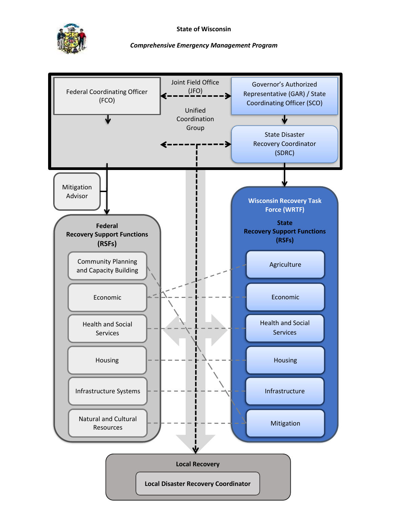

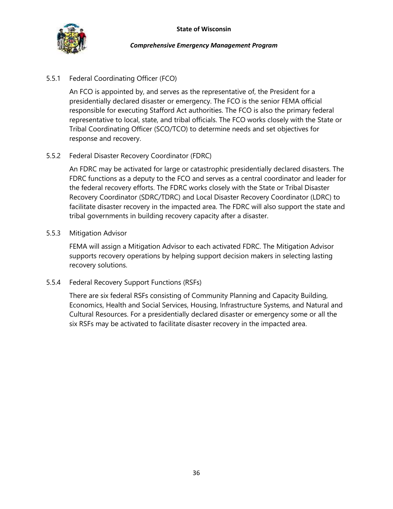

## 5.5.1 Federal Coordinating Officer (FCO)

An FCO is appointed by, and serves as the representative of, the President for a presidentially declared disaster or emergency. The FCO is the senior FEMA official responsible for executing Stafford Act authorities. The FCO is also the primary federal representative to local, state, and tribal officials. The FCO works closely with the State or Tribal Coordinating Officer (SCO/TCO) to determine needs and set objectives for response and recovery.

## 5.5.2 Federal Disaster Recovery Coordinator (FDRC)

An FDRC may be activated for large or catastrophic presidentially declared disasters. The FDRC functions as a deputy to the FCO and serves as a central coordinator and leader for the federal recovery efforts. The FDRC works closely with the State or Tribal Disaster Recovery Coordinator (SDRC/TDRC) and Local Disaster Recovery Coordinator (LDRC) to facilitate disaster recovery in the impacted area. The FDRC will also support the state and tribal governments in building recovery capacity after a disaster.

## 5.5.3 Mitigation Advisor

FEMA will assign a Mitigation Advisor to each activated FDRC. The Mitigation Advisor supports recovery operations by helping support decision makers in selecting lasting recovery solutions.

## 5.5.4 Federal Recovery Support Functions (RSFs)

There are six federal RSFs consisting of Community Planning and Capacity Building, Economics, Health and Social Services, Housing, Infrastructure Systems, and Natural and Cultural Resources. For a presidentially declared disaster or emergency some or all the six RSFs may be activated to facilitate disaster recovery in the impacted area.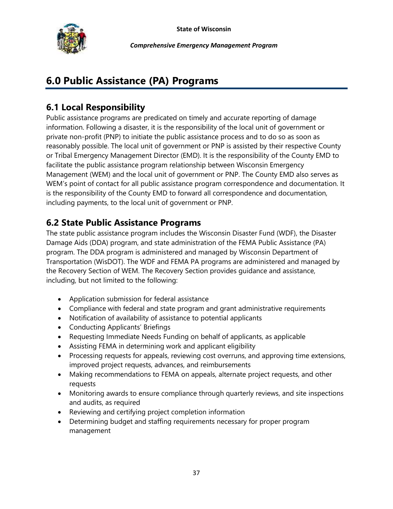

# **6.0 Public Assistance (PA) Programs**

# **6.1 Local Responsibility**

Public assistance programs are predicated on timely and accurate reporting of damage information. Following a disaster, it is the responsibility of the local unit of government or private non-profit (PNP) to initiate the public assistance process and to do so as soon as reasonably possible. The local unit of government or PNP is assisted by their respective County or Tribal Emergency Management Director (EMD). It is the responsibility of the County EMD to facilitate the public assistance program relationship between Wisconsin Emergency Management (WEM) and the local unit of government or PNP. The County EMD also serves as WEM's point of contact for all public assistance program correspondence and documentation. It is the responsibility of the County EMD to forward all correspondence and documentation, including payments, to the local unit of government or PNP.

# **6.2 State Public Assistance Programs**

The state public assistance program includes the Wisconsin Disaster Fund (WDF), the Disaster Damage Aids (DDA) program, and state administration of the FEMA Public Assistance (PA) program. The DDA program is administered and managed by Wisconsin Department of Transportation (WisDOT). The WDF and FEMA PA programs are administered and managed by the Recovery Section of WEM. The Recovery Section provides guidance and assistance, including, but not limited to the following:

- Application submission for federal assistance
- Compliance with federal and state program and grant administrative requirements
- Notification of availability of assistance to potential applicants
- Conducting Applicants' Briefings
- Requesting Immediate Needs Funding on behalf of applicants, as applicable
- Assisting FEMA in determining work and applicant eligibility
- Processing requests for appeals, reviewing cost overruns, and approving time extensions, improved project requests, advances, and reimbursements
- Making recommendations to FEMA on appeals, alternate project requests, and other requests
- Monitoring awards to ensure compliance through quarterly reviews, and site inspections and audits, as required
- Reviewing and certifying project completion information
- Determining budget and staffing requirements necessary for proper program management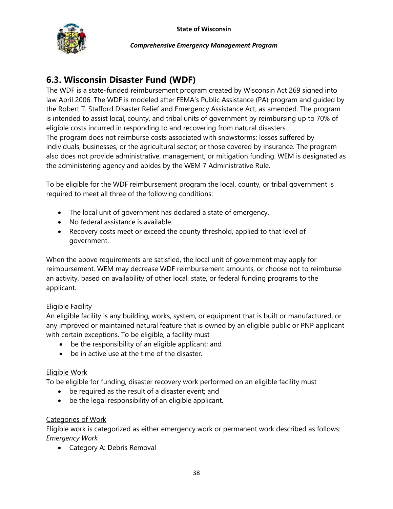

# **6.3. Wisconsin Disaster Fund (WDF)**

The WDF is a state-funded reimbursement program created by Wisconsin Act 269 signed into law April 2006. The WDF is modeled after FEMA's Public Assistance (PA) program and guided by the Robert T. Stafford Disaster Relief and Emergency Assistance Act, as amended. The program is intended to assist local, county, and tribal units of government by reimbursing up to 70% of eligible costs incurred in responding to and recovering from natural disasters. The program does not reimburse costs associated with snowstorms; losses suffered by individuals, businesses, or the agricultural sector; or those covered by insurance. The program also does not provide administrative, management, or mitigation funding. WEM is designated as the administering agency and abides by the WEM 7 Administrative Rule.

To be eligible for the WDF reimbursement program the local, county, or tribal government is required to meet all three of the following conditions:

- The local unit of government has declared a state of emergency.
- No federal assistance is available.
- Recovery costs meet or exceed the county threshold, applied to that level of government.

When the above requirements are satisfied, the local unit of government may apply for reimbursement. WEM may decrease WDF reimbursement amounts, or choose not to reimburse an activity, based on availability of other local, state, or federal funding programs to the applicant.

# Eligible Facility

An eligible facility is any building, works, system, or equipment that is built or manufactured, or any improved or maintained natural feature that is owned by an eligible public or PNP applicant with certain exceptions. To be eligible, a facility must

- be the responsibility of an eligible applicant; and
- be in active use at the time of the disaster.

# Eligible Work

To be eligible for funding, disaster recovery work performed on an eligible facility must

- be required as the result of a disaster event; and
- be the legal responsibility of an eligible applicant.

# Categories of Work

Eligible work is categorized as either emergency work or permanent work described as follows: *Emergency Work*

• Category A: Debris Removal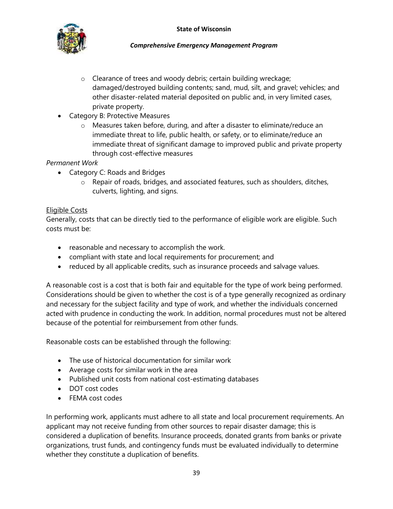

#### *Comprehensive Emergency Management Program*

- o Clearance of trees and woody debris; certain building wreckage; damaged/destroyed building contents; sand, mud, silt, and gravel; vehicles; and other disaster-related material deposited on public and, in very limited cases, private property.
- Category B: Protective Measures
	- o Measures taken before, during, and after a disaster to eliminate/reduce an immediate threat to life, public health, or safety, or to eliminate/reduce an immediate threat of significant damage to improved public and private property through cost-effective measures

# *Permanent Work*

- Category C: Roads and Bridges
	- o Repair of roads, bridges, and associated features, such as shoulders, ditches, culverts, lighting, and signs.

### Eligible Costs

Generally, costs that can be directly tied to the performance of eligible work are eligible. Such costs must be:

- reasonable and necessary to accomplish the work.
- compliant with state and local requirements for procurement; and
- reduced by all applicable credits, such as insurance proceeds and salvage values.

A reasonable cost is a cost that is both fair and equitable for the type of work being performed. Considerations should be given to whether the cost is of a type generally recognized as ordinary and necessary for the subject facility and type of work, and whether the individuals concerned acted with prudence in conducting the work. In addition, normal procedures must not be altered because of the potential for reimbursement from other funds.

Reasonable costs can be established through the following:

- The use of historical documentation for similar work
- Average costs for similar work in the area
- Published unit costs from national cost-estimating databases
- DOT cost codes
- FEMA cost codes

In performing work, applicants must adhere to all state and local procurement requirements. An applicant may not receive funding from other sources to repair disaster damage; this is considered a duplication of benefits. Insurance proceeds, donated grants from banks or private organizations, trust funds, and contingency funds must be evaluated individually to determine whether they constitute a duplication of benefits.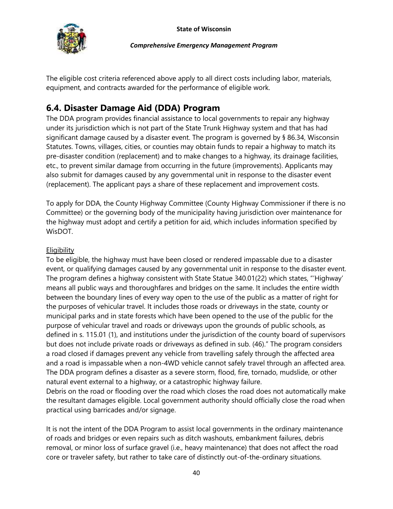The eligible cost criteria referenced above apply to all direct costs including labor, materials, equipment, and contracts awarded for the performance of eligible work.

# **6.4. Disaster Damage Aid (DDA) Program**

The DDA program provides financial assistance to local governments to repair any highway under its jurisdiction which is not part of the State Trunk Highway system and that has had significant damage caused by a disaster event. The program is governed by § 86.34, Wisconsin Statutes. Towns, villages, cities, or counties may obtain funds to repair a highway to match its pre-disaster condition (replacement) and to make changes to a highway, its drainage facilities, etc., to prevent similar damage from occurring in the future (improvements). Applicants may also submit for damages caused by any governmental unit in response to the disaster event (replacement). The applicant pays a share of these replacement and improvement costs.

To apply for DDA, the County Highway Committee (County Highway Commissioner if there is no Committee) or the governing body of the municipality having jurisdiction over maintenance for the highway must adopt and certify a petition for aid, which includes information specified by WisDOT.

# **Eligibility**

To be eligible, the highway must have been closed or rendered impassable due to a disaster event, or qualifying damages caused by any governmental unit in response to the disaster event. The program defines a highway consistent with State Statue 340.01(22) which states, "'Highway' means all public ways and thoroughfares and bridges on the same. It includes the entire width between the boundary lines of every way open to the use of the public as a matter of right for the purposes of vehicular travel. It includes those roads or driveways in the state, county or municipal parks and in state forests which have been opened to the use of the public for the purpose of vehicular travel and roads or driveways upon the grounds of public schools, as defined in s. 115.01 (1), and institutions under the jurisdiction of the county board of supervisors but does not include private roads or driveways as defined in sub. (46)." The program considers a road closed if damages prevent any vehicle from travelling safely through the affected area and a road is impassable when a non-4WD vehicle cannot safely travel through an affected area. The DDA program defines a disaster as a severe storm, flood, fire, tornado, mudslide, or other natural event external to a highway, or a catastrophic highway failure.

Debris on the road or flooding over the road which closes the road does not automatically make the resultant damages eligible. Local government authority should officially close the road when practical using barricades and/or signage.

It is not the intent of the DDA Program to assist local governments in the ordinary maintenance of roads and bridges or even repairs such as ditch washouts, embankment failures, debris removal, or minor loss of surface gravel (i.e., heavy maintenance) that does not affect the road core or traveler safety, but rather to take care of distinctly out-of-the-ordinary situations.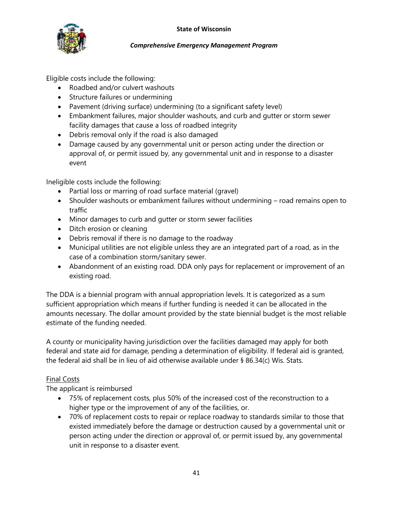

#### *Comprehensive Emergency Management Program*

Eligible costs include the following:

- Roadbed and/or culvert washouts
- Structure failures or undermining
- Pavement (driving surface) undermining (to a significant safety level)
- Embankment failures, major shoulder washouts, and curb and gutter or storm sewer facility damages that cause a loss of roadbed integrity
- Debris removal only if the road is also damaged
- Damage caused by any governmental unit or person acting under the direction or approval of, or permit issued by, any governmental unit and in response to a disaster event

Ineligible costs include the following:

- Partial loss or marring of road surface material (gravel)
- Shoulder washouts or embankment failures without undermining road remains open to traffic
- Minor damages to curb and gutter or storm sewer facilities
- Ditch erosion or cleaning
- Debris removal if there is no damage to the roadway
- Municipal utilities are not eligible unless they are an integrated part of a road, as in the case of a combination storm/sanitary sewer.
- Abandonment of an existing road. DDA only pays for replacement or improvement of an existing road.

The DDA is a biennial program with annual appropriation levels. It is categorized as a sum sufficient appropriation which means if further funding is needed it can be allocated in the amounts necessary. The dollar amount provided by the state biennial budget is the most reliable estimate of the funding needed.

A county or municipality having jurisdiction over the facilities damaged may apply for both federal and state aid for damage, pending a determination of eligibility. If federal aid is granted, the federal aid shall be in lieu of aid otherwise available under § 86.34(c) Wis. Stats.

# Final Costs

The applicant is reimbursed

- 75% of replacement costs, plus 50% of the increased cost of the reconstruction to a higher type or the improvement of any of the facilities, or.
- 70% of replacement costs to repair or replace roadway to standards similar to those that existed immediately before the damage or destruction caused by a governmental unit or person acting under the direction or approval of, or permit issued by, any governmental unit in response to a disaster event.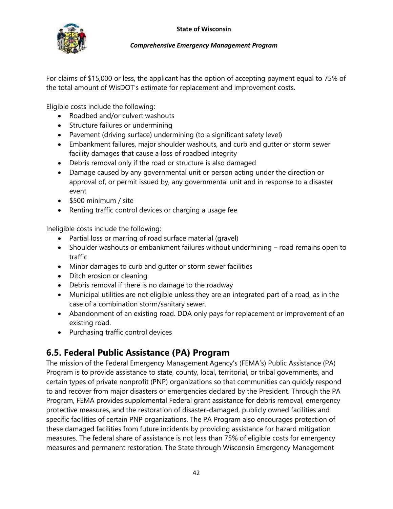### *Comprehensive Emergency Management Program*

For claims of \$15,000 or less, the applicant has the option of accepting payment equal to 75% of the total amount of WisDOT's estimate for replacement and improvement costs.

Eligible costs include the following:

- Roadbed and/or culvert washouts
- Structure failures or undermining
- Pavement (driving surface) undermining (to a significant safety level)
- Embankment failures, major shoulder washouts, and curb and gutter or storm sewer facility damages that cause a loss of roadbed integrity
- Debris removal only if the road or structure is also damaged
- Damage caused by any governmental unit or person acting under the direction or approval of, or permit issued by, any governmental unit and in response to a disaster event
- \$500 minimum / site
- Renting traffic control devices or charging a usage fee

Ineligible costs include the following:

- Partial loss or marring of road surface material (gravel)
- Shoulder washouts or embankment failures without undermining road remains open to traffic
- Minor damages to curb and gutter or storm sewer facilities
- Ditch erosion or cleaning
- Debris removal if there is no damage to the roadway
- Municipal utilities are not eligible unless they are an integrated part of a road, as in the case of a combination storm/sanitary sewer.
- Abandonment of an existing road. DDA only pays for replacement or improvement of an existing road.
- Purchasing traffic control devices

# **6.5. Federal Public Assistance (PA) Program**

The mission of the Federal Emergency Management Agency's (FEMA's) Public Assistance (PA) Program is to provide assistance to state, county, local, territorial, or tribal governments, and certain types of private nonprofit (PNP) organizations so that communities can quickly respond to and recover from major disasters or emergencies declared by the President. Through the PA Program, FEMA provides supplemental Federal grant assistance for debris removal, emergency protective measures, and the restoration of disaster-damaged, publicly owned facilities and specific facilities of certain PNP organizations. The PA Program also encourages protection of these damaged facilities from future incidents by providing assistance for hazard mitigation measures. The federal share of assistance is not less than 75% of eligible costs for emergency measures and permanent restoration. The State through Wisconsin Emergency Management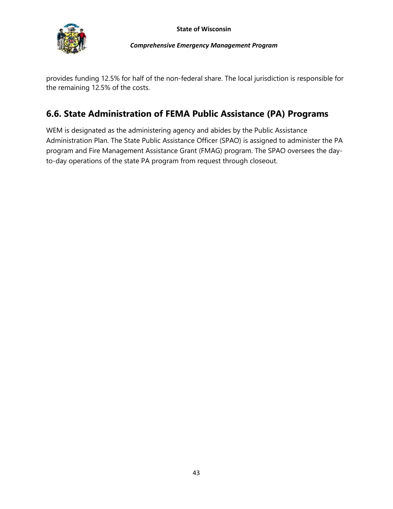

provides funding 12.5% for half of the non-federal share. The local jurisdiction is responsible for the remaining 12.5% of the costs.

# **6.6. State Administration of FEMA Public Assistance (PA) Programs**

WEM is designated as the administering agency and abides by the Public Assistance Administration Plan. The State Public Assistance Officer (SPAO) is assigned to administer the PA program and Fire Management Assistance Grant (FMAG) program. The SPAO oversees the dayto-day operations of the state PA program from request through closeout.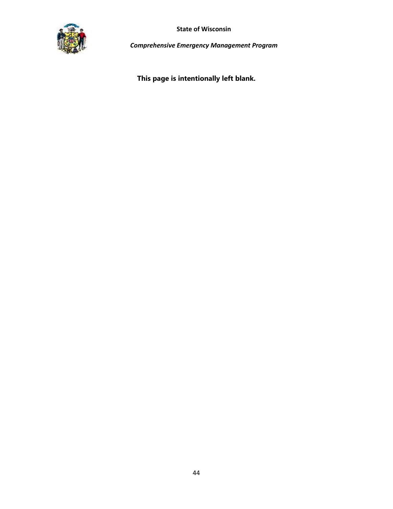

*Comprehensive Emergency Management Program*

**This page is intentionally left blank.**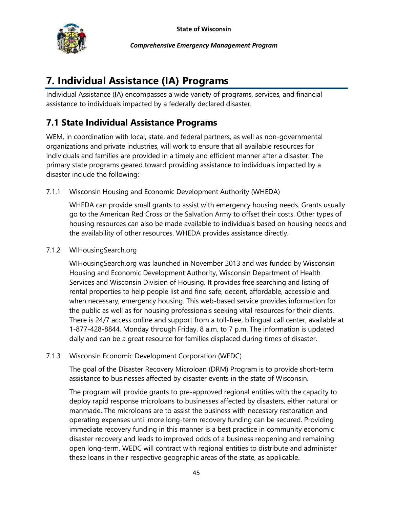

# **7. Individual Assistance (IA) Programs**

Individual Assistance (IA) encompasses a wide variety of programs, services, and financial assistance to individuals impacted by a federally declared disaster.

# **7.1 State Individual Assistance Programs**

WEM, in coordination with local, state, and federal partners, as well as non-governmental organizations and private industries, will work to ensure that all available resources for individuals and families are provided in a timely and efficient manner after a disaster. The primary state programs geared toward providing assistance to individuals impacted by a disaster include the following:

7.1.1 Wisconsin Housing and Economic Development Authority (WHEDA)

WHEDA can provide small grants to assist with emergency housing needs. Grants usually go to the American Red Cross or the Salvation Army to offset their costs. Other types of housing resources can also be made available to individuals based on housing needs and the availability of other resources. WHEDA provides assistance directly.

7.1.2 WIHousingSearch.org

WIHousingSearch.org was launched in November 2013 and was funded by Wisconsin Housing and Economic Development Authority, Wisconsin Department of Health Services and Wisconsin Division of Housing. It provides free searching and listing of rental properties to help people list and find safe, decent, affordable, accessible and, when necessary, emergency housing. This web-based service provides information for the public as well as for housing professionals seeking vital resources for their clients. There is 24/7 access online and support from a toll-free, bilingual call center, available at 1-877-428-8844, Monday through Friday, 8 a.m. to 7 p.m. The information is updated daily and can be a great resource for families displaced during times of disaster.

# 7.1.3 Wisconsin Economic Development Corporation (WEDC)

The goal of the Disaster Recovery Microloan (DRM) Program is to provide short-term assistance to businesses affected by disaster events in the state of Wisconsin.

The program will provide grants to pre-approved regional entities with the capacity to deploy rapid response microloans to businesses affected by disasters, either natural or manmade. The microloans are to assist the business with necessary restoration and operating expenses until more long-term recovery funding can be secured. Providing immediate recovery funding in this manner is a best practice in community economic disaster recovery and leads to improved odds of a business reopening and remaining open long-term. WEDC will contract with regional entities to distribute and administer these loans in their respective geographic areas of the state, as applicable.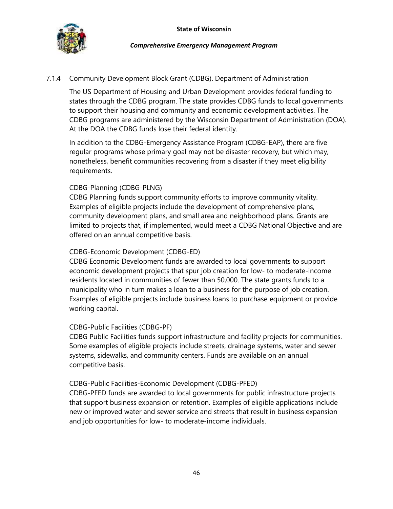

#### *Comprehensive Emergency Management Program*

### 7.1.4 Community Development Block Grant (CDBG). Department of Administration

The US Department of Housing and Urban Development provides federal funding to states through the CDBG program. The state provides CDBG funds to local governments to support their housing and community and economic development activities. The CDBG programs are administered by the Wisconsin Department of Administration (DOA). At the DOA the CDBG funds lose their federal identity.

In addition to the CDBG-Emergency Assistance Program (CDBG-EAP), there are five regular programs whose primary goal may not be disaster recovery, but which may, nonetheless, benefit communities recovering from a disaster if they meet eligibility requirements.

# CDBG-Planning (CDBG-PLNG)

CDBG Planning funds support community efforts to improve community vitality. Examples of eligible projects include the development of comprehensive plans, community development plans, and small area and neighborhood plans. Grants are limited to projects that, if implemented, would meet a CDBG National Objective and are offered on an annual competitive basis.

# CDBG-Economic Development (CDBG-ED)

CDBG Economic Development funds are awarded to local governments to support economic development projects that spur job creation for low- to moderate-income residents located in communities of fewer than 50,000. The state grants funds to a municipality who in turn makes a loan to a business for the purpose of job creation. Examples of eligible projects include business loans to purchase equipment or provide working capital.

# CDBG-Public Facilities (CDBG-PF)

CDBG Public Facilities funds support infrastructure and facility projects for communities. Some examples of eligible projects include streets, drainage systems, water and sewer systems, sidewalks, and community centers. Funds are available on an annual competitive basis.

# CDBG-Public Facilities-Economic Development (CDBG-PFED)

CDBG-PFED funds are awarded to local governments for public infrastructure projects that support business expansion or retention. Examples of eligible applications include new or improved water and sewer service and streets that result in business expansion and job opportunities for low- to moderate-income individuals.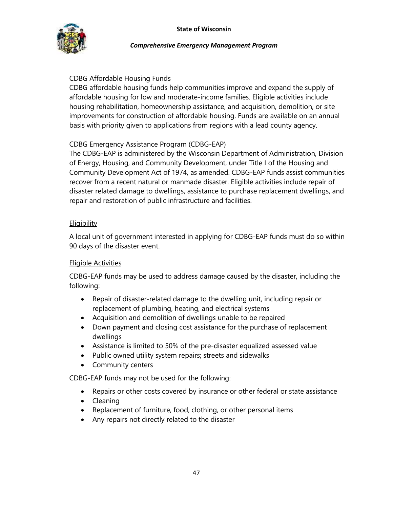

#### *Comprehensive Emergency Management Program*

# CDBG Affordable Housing Funds

CDBG affordable housing funds help communities improve and expand the supply of affordable housing for low and moderate-income families. Eligible activities include housing rehabilitation, homeownership assistance, and acquisition, demolition, or site improvements for construction of affordable housing. Funds are available on an annual basis with priority given to applications from regions with a lead county agency.

# CDBG Emergency Assistance Program (CDBG-EAP)

The CDBG-EAP is administered by the Wisconsin Department of Administration, Division of Energy, Housing, and Community Development, under Title I of the Housing and Community Development Act of 1974, as amended. CDBG-EAP funds assist communities recover from a recent natural or manmade disaster. Eligible activities include repair of disaster related damage to dwellings, assistance to purchase replacement dwellings, and repair and restoration of public infrastructure and facilities.

# **Eligibility**

A local unit of government interested in applying for CDBG-EAP funds must do so within 90 days of the disaster event.

# Eligible Activities

CDBG-EAP funds may be used to address damage caused by the disaster, including the following:

- Repair of disaster-related damage to the dwelling unit, including repair or replacement of plumbing, heating, and electrical systems
- Acquisition and demolition of dwellings unable to be repaired
- Down payment and closing cost assistance for the purchase of replacement dwellings
- Assistance is limited to 50% of the pre-disaster equalized assessed value
- Public owned utility system repairs; streets and sidewalks
- Community centers

CDBG-EAP funds may not be used for the following:

- Repairs or other costs covered by insurance or other federal or state assistance
- Cleaning
- Replacement of furniture, food, clothing, or other personal items
- Any repairs not directly related to the disaster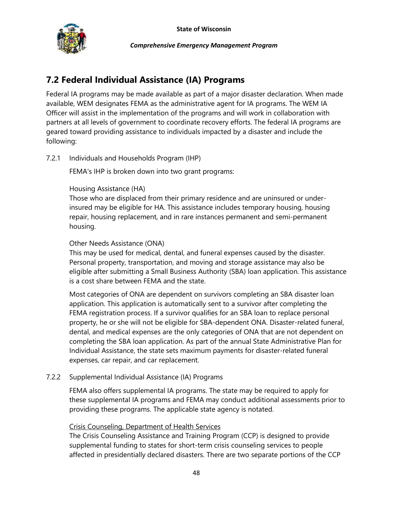

# **7.2 Federal Individual Assistance (IA) Programs**

Federal IA programs may be made available as part of a major disaster declaration. When made available, WEM designates FEMA as the administrative agent for IA programs. The WEM IA Officer will assist in the implementation of the programs and will work in collaboration with partners at all levels of government to coordinate recovery efforts. The federal IA programs are geared toward providing assistance to individuals impacted by a disaster and include the following:

7.2.1 Individuals and Households Program (IHP)

FEMA's IHP is broken down into two grant programs:

# Housing Assistance (HA)

Those who are displaced from their primary residence and are uninsured or underinsured may be eligible for HA. This assistance includes temporary housing, housing repair, housing replacement, and in rare instances permanent and semi-permanent housing.

# Other Needs Assistance (ONA)

This may be used for medical, dental, and funeral expenses caused by the disaster. Personal property, transportation, and moving and storage assistance may also be eligible after submitting a Small Business Authority (SBA) loan application. This assistance is a cost share between FEMA and the state.

Most categories of ONA are dependent on survivors completing an SBA disaster loan application. This application is automatically sent to a survivor after completing the FEMA registration process. If a survivor qualifies for an SBA loan to replace personal property, he or she will not be eligible for SBA-dependent ONA. Disaster-related funeral, dental, and medical expenses are the only categories of ONA that are not dependent on completing the SBA loan application. As part of the annual State Administrative Plan for Individual Assistance, the state sets maximum payments for disaster-related funeral expenses, car repair, and car replacement.

# 7.2.2 Supplemental Individual Assistance (IA) Programs

FEMA also offers supplemental IA programs. The state may be required to apply for these supplemental IA programs and FEMA may conduct additional assessments prior to providing these programs. The applicable state agency is notated.

# Crisis Counseling, Department of Health Services

The Crisis Counseling Assistance and Training Program (CCP) is designed to provide supplemental funding to states for short-term crisis counseling services to people affected in presidentially declared disasters. There are two separate portions of the CCP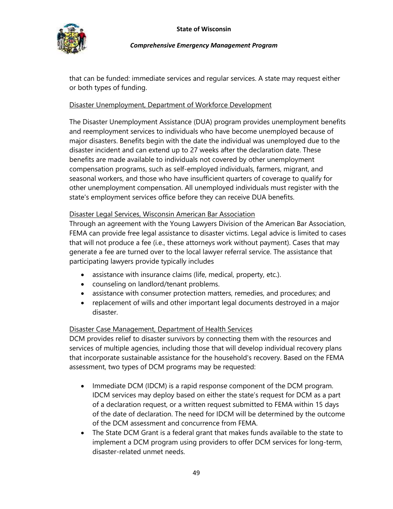

#### *Comprehensive Emergency Management Program*

that can be funded: immediate services and regular services. A state may request either or both types of funding.

# Disaster Unemployment, Department of Workforce Development

The Disaster Unemployment Assistance (DUA) program provides unemployment benefits and reemployment services to individuals who have become unemployed because of major disasters. Benefits begin with the date the individual was unemployed due to the disaster incident and can extend up to 27 weeks after the declaration date. These benefits are made available to individuals not covered by other unemployment compensation programs, such as self-employed individuals, farmers, migrant, and seasonal workers, and those who have insufficient quarters of coverage to qualify for other unemployment compensation. All unemployed individuals must register with the state's employment services office before they can receive DUA benefits.

# Disaster Legal Services, Wisconsin American Bar Association

Through an agreement with the Young Lawyers Division of the American Bar Association, FEMA can provide free legal assistance to disaster victims. Legal advice is limited to cases that will not produce a fee (i.e., these attorneys work without payment). Cases that may generate a fee are turned over to the local lawyer referral service. The assistance that participating lawyers provide typically includes

- assistance with insurance claims (life, medical, property, etc.).
- counseling on landlord/tenant problems.
- assistance with consumer protection matters, remedies, and procedures; and
- replacement of wills and other important legal documents destroyed in a major disaster.

# Disaster Case Management, Department of Health Services

DCM provides relief to disaster survivors by connecting them with the resources and services of multiple agencies, including those that will develop individual recovery plans that incorporate sustainable assistance for the household's recovery. Based on the FEMA assessment, two types of DCM programs may be requested:

- Immediate DCM (IDCM) is a rapid response component of the DCM program. IDCM services may deploy based on either the state's request for DCM as a part of a declaration request, or a written request submitted to FEMA within 15 days of the date of declaration. The need for IDCM will be determined by the outcome of the DCM assessment and concurrence from FEMA.
- The State DCM Grant is a federal grant that makes funds available to the state to implement a DCM program using providers to offer DCM services for long-term, disaster-related unmet needs.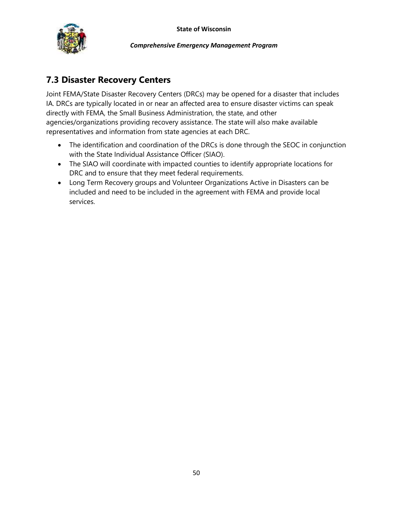

*Comprehensive Emergency Management Program*

# **7.3 Disaster Recovery Centers**

Joint FEMA/State Disaster Recovery Centers (DRCs) may be opened for a disaster that includes IA. DRCs are typically located in or near an affected area to ensure disaster victims can speak directly with FEMA, the Small Business Administration, the state, and other agencies/organizations providing recovery assistance. The state will also make available representatives and information from state agencies at each DRC.

- The identification and coordination of the DRCs is done through the SEOC in conjunction with the State Individual Assistance Officer (SIAO).
- The SIAO will coordinate with impacted counties to identify appropriate locations for DRC and to ensure that they meet federal requirements.
- Long Term Recovery groups and Volunteer Organizations Active in Disasters can be included and need to be included in the agreement with FEMA and provide local services.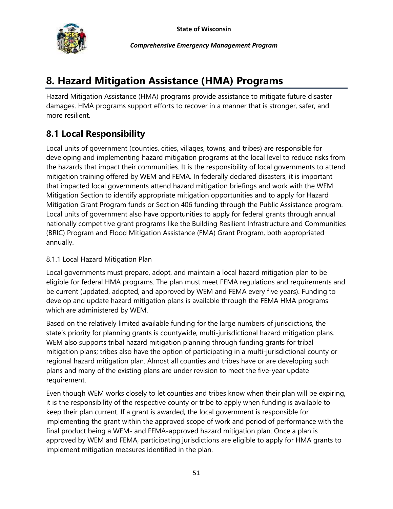

# **8. Hazard Mitigation Assistance (HMA) Programs**

Hazard Mitigation Assistance (HMA) programs provide assistance to mitigate future disaster damages. HMA programs support efforts to recover in a manner that is stronger, safer, and more resilient.

# **8.1 Local Responsibility**

Local units of government (counties, cities, villages, towns, and tribes) are responsible for developing and implementing hazard mitigation programs at the local level to reduce risks from the hazards that impact their communities. It is the responsibility of local governments to attend mitigation training offered by WEM and FEMA. In federally declared disasters, it is important that impacted local governments attend hazard mitigation briefings and work with the WEM Mitigation Section to identify appropriate mitigation opportunities and to apply for Hazard Mitigation Grant Program funds or Section 406 funding through the Public Assistance program. Local units of government also have opportunities to apply for federal grants through annual nationally competitive grant programs like the Building Resilient Infrastructure and Communities (BRIC) Program and Flood Mitigation Assistance (FMA) Grant Program, both appropriated annually.

# 8.1.1 Local Hazard Mitigation Plan

Local governments must prepare, adopt, and maintain a local hazard mitigation plan to be eligible for federal HMA programs. The plan must meet FEMA regulations and requirements and be current (updated, adopted, and approved by WEM and FEMA every five years). Funding to develop and update hazard mitigation plans is available through the FEMA HMA programs which are administered by WEM.

Based on the relatively limited available funding for the large numbers of jurisdictions, the state's priority for planning grants is countywide, multi-jurisdictional hazard mitigation plans. WEM also supports tribal hazard mitigation planning through funding grants for tribal mitigation plans; tribes also have the option of participating in a multi-jurisdictional county or regional hazard mitigation plan. Almost all counties and tribes have or are developing such plans and many of the existing plans are under revision to meet the five-year update requirement.

Even though WEM works closely to let counties and tribes know when their plan will be expiring, it is the responsibility of the respective county or tribe to apply when funding is available to keep their plan current. If a grant is awarded, the local government is responsible for implementing the grant within the approved scope of work and period of performance with the final product being a WEM- and FEMA-approved hazard mitigation plan. Once a plan is approved by WEM and FEMA, participating jurisdictions are eligible to apply for HMA grants to implement mitigation measures identified in the plan.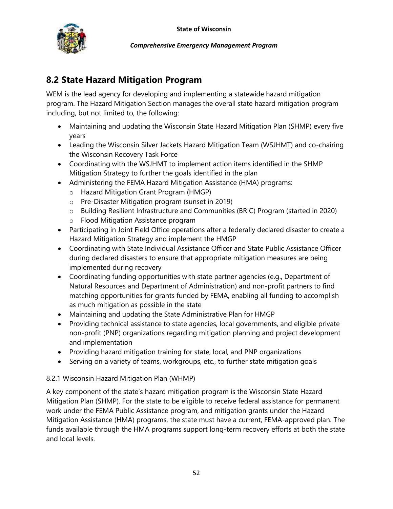

# **8.2 State Hazard Mitigation Program**

WEM is the lead agency for developing and implementing a statewide hazard mitigation program. The Hazard Mitigation Section manages the overall state hazard mitigation program including, but not limited to, the following:

- Maintaining and updating the Wisconsin State Hazard Mitigation Plan (SHMP) every five years
- Leading the Wisconsin Silver Jackets Hazard Mitigation Team (WSJHMT) and co-chairing the Wisconsin Recovery Task Force
- Coordinating with the WSJHMT to implement action items identified in the SHMP Mitigation Strategy to further the goals identified in the plan
- Administering the FEMA Hazard Mitigation Assistance (HMA) programs:
	- o Hazard Mitigation Grant Program (HMGP)
	- o Pre-Disaster Mitigation program (sunset in 2019)
	- o Building Resilient Infrastructure and Communities (BRIC) Program (started in 2020)
	- o Flood Mitigation Assistance program
- Participating in Joint Field Office operations after a federally declared disaster to create a Hazard Mitigation Strategy and implement the HMGP
- Coordinating with State Individual Assistance Officer and State Public Assistance Officer during declared disasters to ensure that appropriate mitigation measures are being implemented during recovery
- Coordinating funding opportunities with state partner agencies (e.g., Department of Natural Resources and Department of Administration) and non-profit partners to find matching opportunities for grants funded by FEMA, enabling all funding to accomplish as much mitigation as possible in the state
- Maintaining and updating the State Administrative Plan for HMGP
- Providing technical assistance to state agencies, local governments, and eligible private non-profit (PNP) organizations regarding mitigation planning and project development and implementation
- Providing hazard mitigation training for state, local, and PNP organizations
- Serving on a variety of teams, workgroups, etc., to further state mitigation goals

# 8.2.1 Wisconsin Hazard Mitigation Plan (WHMP)

A key component of the state's hazard mitigation program is the Wisconsin State Hazard Mitigation Plan (SHMP). For the state to be eligible to receive federal assistance for permanent work under the FEMA Public Assistance program, and mitigation grants under the Hazard Mitigation Assistance (HMA) programs, the state must have a current, FEMA-approved plan. The funds available through the HMA programs support long-term recovery efforts at both the state and local levels.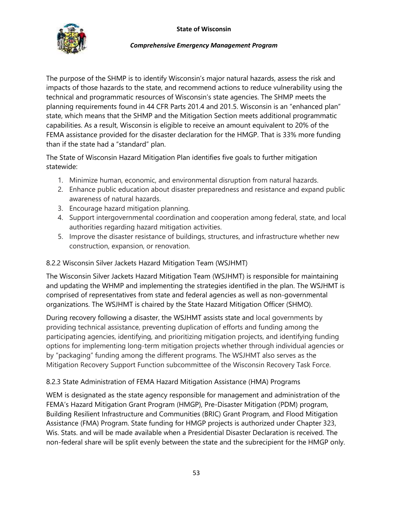

#### *Comprehensive Emergency Management Program*

The purpose of the SHMP is to identify Wisconsin's major natural hazards, assess the risk and impacts of those hazards to the state, and recommend actions to reduce vulnerability using the technical and programmatic resources of Wisconsin's state agencies. The SHMP meets the planning requirements found in 44 CFR Parts 201.4 and 201.5. Wisconsin is an "enhanced plan" state, which means that the SHMP and the Mitigation Section meets additional programmatic capabilities. As a result, Wisconsin is eligible to receive an amount equivalent to 20% of the FEMA assistance provided for the disaster declaration for the HMGP. That is 33% more funding than if the state had a "standard" plan.

The State of Wisconsin Hazard Mitigation Plan identifies five goals to further mitigation statewide:

- 1. Minimize human, economic, and environmental disruption from natural hazards.
- 2. Enhance public education about disaster preparedness and resistance and expand public awareness of natural hazards.
- 3. Encourage hazard mitigation planning.
- 4. Support intergovernmental coordination and cooperation among federal, state, and local authorities regarding hazard mitigation activities.
- 5. Improve the disaster resistance of buildings, structures, and infrastructure whether new construction, expansion, or renovation.

# 8.2.2 Wisconsin Silver Jackets Hazard Mitigation Team (WSJHMT)

The Wisconsin Silver Jackets Hazard Mitigation Team (WSJHMT) is responsible for maintaining and updating the WHMP and implementing the strategies identified in the plan. The WSJHMT is comprised of representatives from state and federal agencies as well as non-governmental organizations. The WSJHMT is chaired by the State Hazard Mitigation Officer (SHMO).

During recovery following a disaster, the WSJHMT assists state and local governments by providing technical assistance, preventing duplication of efforts and funding among the participating agencies, identifying, and prioritizing mitigation projects, and identifying funding options for implementing long-term mitigation projects whether through individual agencies or by "packaging" funding among the different programs. The WSJHMT also serves as the Mitigation Recovery Support Function subcommittee of the Wisconsin Recovery Task Force.

# 8.2.3 State Administration of FEMA Hazard Mitigation Assistance (HMA) Programs

WEM is designated as the state agency responsible for management and administration of the FEMA's Hazard Mitigation Grant Program (HMGP), Pre-Disaster Mitigation (PDM) program, Building Resilient Infrastructure and Communities (BRIC) Grant Program, and Flood Mitigation Assistance (FMA) Program. State funding for HMGP projects is authorized under Chapter 323, Wis. Stats. and will be made available when a Presidential Disaster Declaration is received. The non-federal share will be split evenly between the state and the subrecipient for the HMGP only.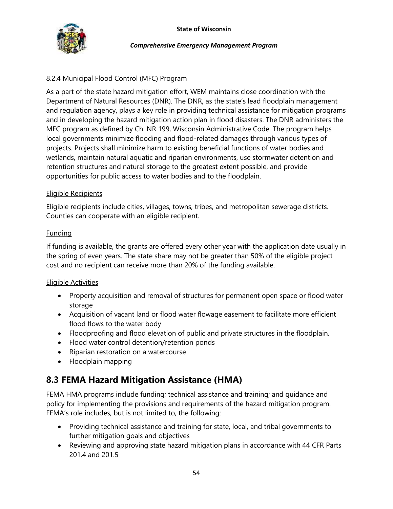

# 8.2.4 Municipal Flood Control (MFC) Program

As a part of the state hazard mitigation effort, WEM maintains close coordination with the Department of Natural Resources (DNR). The DNR, as the state's lead floodplain management and regulation agency, plays a key role in providing technical assistance for mitigation programs and in developing the hazard mitigation action plan in flood disasters. The DNR administers the MFC program as defined by Ch. NR 199, Wisconsin Administrative Code. The program helps local governments minimize flooding and flood-related damages through various types of projects. Projects shall minimize harm to existing beneficial functions of water bodies and wetlands, maintain natural aquatic and riparian environments, use stormwater detention and retention structures and natural storage to the greatest extent possible, and provide opportunities for public access to water bodies and to the floodplain.

# Eligible Recipients

Eligible recipients include cities, villages, towns, tribes, and metropolitan sewerage districts. Counties can cooperate with an eligible recipient.

### **Funding**

If funding is available, the grants are offered every other year with the application date usually in the spring of even years. The state share may not be greater than 50% of the eligible project cost and no recipient can receive more than 20% of the funding available.

# Eligible Activities

- Property acquisition and removal of structures for permanent open space or flood water storage
- Acquisition of vacant land or flood water flowage easement to facilitate more efficient flood flows to the water body
- Floodproofing and flood elevation of public and private structures in the floodplain.
- Flood water control detention/retention ponds
- Riparian restoration on a watercourse
- Floodplain mapping

# **8.3 FEMA Hazard Mitigation Assistance (HMA)**

FEMA HMA programs include funding; technical assistance and training; and guidance and policy for implementing the provisions and requirements of the hazard mitigation program. FEMA's role includes, but is not limited to, the following:

- Providing technical assistance and training for state, local, and tribal governments to further mitigation goals and objectives
- Reviewing and approving state hazard mitigation plans in accordance with 44 CFR Parts 201.4 and 201.5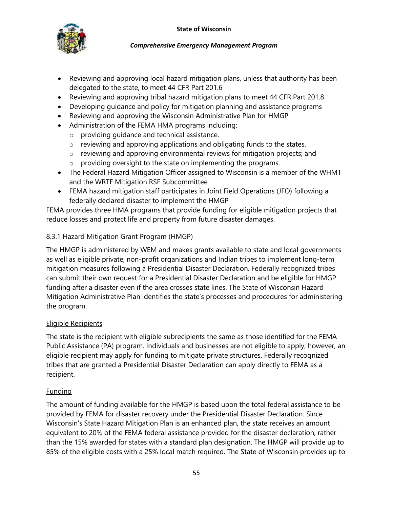

*Comprehensive Emergency Management Program*

- Reviewing and approving local hazard mitigation plans, unless that authority has been delegated to the state, to meet 44 CFR Part 201.6
- Reviewing and approving tribal hazard mitigation plans to meet 44 CFR Part 201.8
- Developing guidance and policy for mitigation planning and assistance programs
- Reviewing and approving the Wisconsin Administrative Plan for HMGP
- Administration of the FEMA HMA programs including:
	- o providing guidance and technical assistance.
	- o reviewing and approving applications and obligating funds to the states.
	- $\circ$  reviewing and approving environmental reviews for mitigation projects; and
	- o providing oversight to the state on implementing the programs.
- The Federal Hazard Mitigation Officer assigned to Wisconsin is a member of the WHMT and the WRTF Mitigation RSF Subcommittee
- FEMA hazard mitigation staff participates in Joint Field Operations (JFO) following a federally declared disaster to implement the HMGP

FEMA provides three HMA programs that provide funding for eligible mitigation projects that reduce losses and protect life and property from future disaster damages.

# 8.3.1 Hazard Mitigation Grant Program (HMGP)

The HMGP is administered by WEM and makes grants available to state and local governments as well as eligible private, non-profit organizations and Indian tribes to implement long-term mitigation measures following a Presidential Disaster Declaration. Federally recognized tribes can submit their own request for a Presidential Disaster Declaration and be eligible for HMGP funding after a disaster even if the area crosses state lines. The State of Wisconsin Hazard Mitigation Administrative Plan identifies the state's processes and procedures for administering the program.

# Eligible Recipients

The state is the recipient with eligible subrecipients the same as those identified for the FEMA Public Assistance (PA) program. Individuals and businesses are not eligible to apply; however, an eligible recipient may apply for funding to mitigate private structures. Federally recognized tribes that are granted a Presidential Disaster Declaration can apply directly to FEMA as a recipient.

# **Funding**

The amount of funding available for the HMGP is based upon the total federal assistance to be provided by FEMA for disaster recovery under the Presidential Disaster Declaration. Since Wisconsin's State Hazard Mitigation Plan is an enhanced plan, the state receives an amount equivalent to 20% of the FEMA federal assistance provided for the disaster declaration, rather than the 15% awarded for states with a standard plan designation. The HMGP will provide up to 85% of the eligible costs with a 25% local match required. The State of Wisconsin provides up to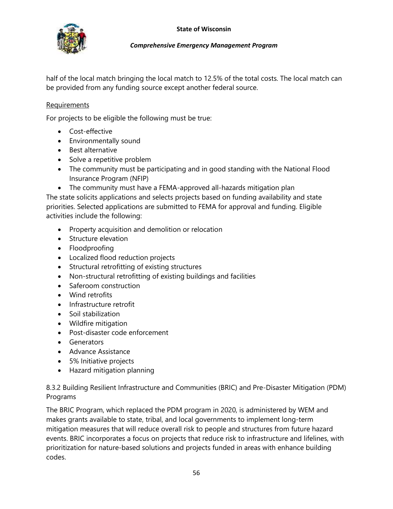

#### *Comprehensive Emergency Management Program*

half of the local match bringing the local match to 12.5% of the total costs. The local match can be provided from any funding source except another federal source.

# Requirements

For projects to be eligible the following must be true:

- Cost-effective
- Environmentally sound
- Best alternative
- Solve a repetitive problem
- The community must be participating and in good standing with the National Flood Insurance Program (NFIP)
- The community must have a FEMA-approved all-hazards mitigation plan

The state solicits applications and selects projects based on funding availability and state priorities. Selected applications are submitted to FEMA for approval and funding. Eligible activities include the following:

- Property acquisition and demolition or relocation
- Structure elevation
- Floodproofing
- Localized flood reduction projects
- Structural retrofitting of existing structures
- Non-structural retrofitting of existing buildings and facilities
- Saferoom construction
- Wind retrofits
- Infrastructure retrofit
- Soil stabilization
- Wildfire mitigation
- Post-disaster code enforcement
- Generators
- Advance Assistance
- 5% Initiative projects
- Hazard mitigation planning

8.3.2 Building Resilient Infrastructure and Communities (BRIC) and Pre-Disaster Mitigation (PDM) Programs

The BRIC Program, which replaced the PDM program in 2020, is administered by WEM and makes grants available to state, tribal, and local governments to implement long-term mitigation measures that will reduce overall risk to people and structures from future hazard events. BRIC incorporates a focus on projects that reduce risk to infrastructure and lifelines, with prioritization for nature-based solutions and projects funded in areas with enhance building codes.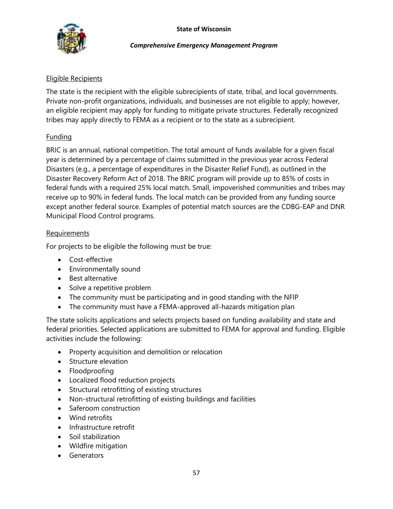

#### *Comprehensive Emergency Management Program*

# Eligible Recipients

The state is the recipient with the eligible subrecipients of state, tribal, and local governments. Private non-profit organizations, individuals, and businesses are not eligible to apply; however, an eligible recipient may apply for funding to mitigate private structures. Federally recognized tribes may apply directly to FEMA as a recipient or to the state as a subrecipient.

# **Funding**

BRIC is an annual, national competition. The total amount of funds available for a given fiscal year is determined by a percentage of claims submitted in the previous year across Federal Disasters (e.g., a percentage of expenditures in the Disaster Relief Fund), as outlined in the Disaster Recovery Reform Act of 2018. The BRIC program will provide up to 85% of costs in federal funds with a required 25% local match. Small, impoverished communities and tribes may receive up to 90% in federal funds. The local match can be provided from any funding source except another federal source. Examples of potential match sources are the CDBG-EAP and DNR Municipal Flood Control programs.

### **Requirements**

For projects to be eligible the following must be true:

- Cost-effective
- Environmentally sound
- Best alternative
- Solve a repetitive problem
- The community must be participating and in good standing with the NFIP
- The community must have a FEMA-approved all-hazards mitigation plan

The state solicits applications and selects projects based on funding availability and state and federal priorities. Selected applications are submitted to FEMA for approval and funding. Eligible activities include the following:

- Property acquisition and demolition or relocation
- Structure elevation
- Floodproofing
- Localized flood reduction projects
- Structural retrofitting of existing structures
- Non-structural retrofitting of existing buildings and facilities
- Saferoom construction
- Wind retrofits
- Infrastructure retrofit
- Soil stabilization
- Wildfire mitigation
- Generators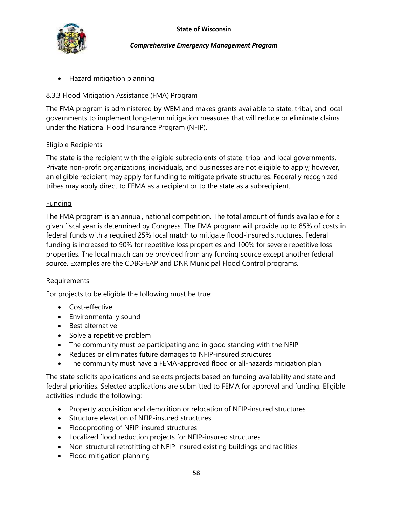

• Hazard mitigation planning

# 8.3.3 Flood Mitigation Assistance (FMA) Program

The FMA program is administered by WEM and makes grants available to state, tribal, and local governments to implement long-term mitigation measures that will reduce or eliminate claims under the National Flood Insurance Program (NFIP).

# Eligible Recipients

The state is the recipient with the eligible subrecipients of state, tribal and local governments. Private non-profit organizations, individuals, and businesses are not eligible to apply; however, an eligible recipient may apply for funding to mitigate private structures. Federally recognized tribes may apply direct to FEMA as a recipient or to the state as a subrecipient.

# **Funding**

The FMA program is an annual, national competition. The total amount of funds available for a given fiscal year is determined by Congress. The FMA program will provide up to 85% of costs in federal funds with a required 25% local match to mitigate flood-insured structures. Federal funding is increased to 90% for repetitive loss properties and 100% for severe repetitive loss properties. The local match can be provided from any funding source except another federal source. Examples are the CDBG-EAP and DNR Municipal Flood Control programs.

# Requirements

For projects to be eligible the following must be true:

- Cost-effective
- Environmentally sound
- Best alternative
- Solve a repetitive problem
- The community must be participating and in good standing with the NFIP
- Reduces or eliminates future damages to NFIP-insured structures
- The community must have a FEMA-approved flood or all-hazards mitigation plan

The state solicits applications and selects projects based on funding availability and state and federal priorities. Selected applications are submitted to FEMA for approval and funding. Eligible activities include the following:

- Property acquisition and demolition or relocation of NFIP-insured structures
- Structure elevation of NFIP-insured structures
- Floodproofing of NFIP-insured structures
- Localized flood reduction projects for NFIP-insured structures
- Non-structural retrofitting of NFIP-insured existing buildings and facilities
- Flood mitigation planning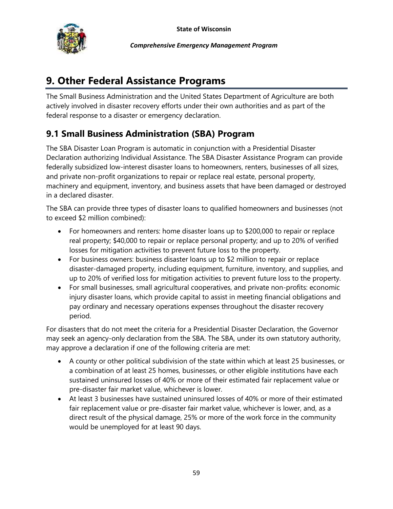

# **9. Other Federal Assistance Programs**

The Small Business Administration and the United States Department of Agriculture are both actively involved in disaster recovery efforts under their own authorities and as part of the federal response to a disaster or emergency declaration.

# **9.1 Small Business Administration (SBA) Program**

The SBA Disaster Loan Program is automatic in conjunction with a Presidential Disaster Declaration authorizing Individual Assistance. The SBA Disaster Assistance Program can provide federally subsidized low-interest disaster loans to homeowners, renters, businesses of all sizes, and private non-profit organizations to repair or replace real estate, personal property, machinery and equipment, inventory, and business assets that have been damaged or destroyed in a declared disaster.

The SBA can provide three types of disaster loans to qualified homeowners and businesses (not to exceed \$2 million combined):

- For homeowners and renters: home disaster loans up to \$200,000 to repair or replace real property; \$40,000 to repair or replace personal property; and up to 20% of verified losses for mitigation activities to prevent future loss to the property.
- For business owners: business disaster loans up to \$2 million to repair or replace disaster-damaged property, including equipment, furniture, inventory, and supplies, and up to 20% of verified loss for mitigation activities to prevent future loss to the property.
- For small businesses, small agricultural cooperatives, and private non-profits: economic injury disaster loans, which provide capital to assist in meeting financial obligations and pay ordinary and necessary operations expenses throughout the disaster recovery period.

For disasters that do not meet the criteria for a Presidential Disaster Declaration, the Governor may seek an agency-only declaration from the SBA. The SBA, under its own statutory authority, may approve a declaration if one of the following criteria are met:

- A county or other political subdivision of the state within which at least 25 businesses, or a combination of at least 25 homes, businesses, or other eligible institutions have each sustained uninsured losses of 40% or more of their estimated fair replacement value or pre-disaster fair market value, whichever is lower.
- At least 3 businesses have sustained uninsured losses of 40% or more of their estimated fair replacement value or pre-disaster fair market value, whichever is lower, and, as a direct result of the physical damage, 25% or more of the work force in the community would be unemployed for at least 90 days.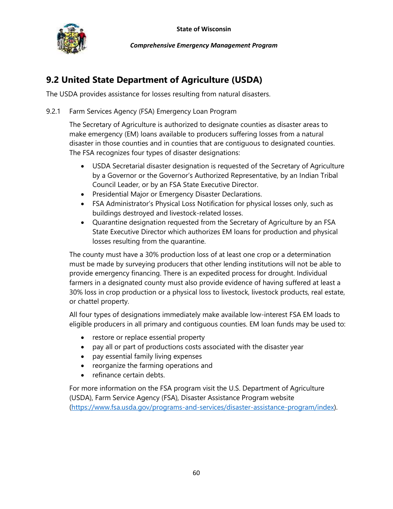

*Comprehensive Emergency Management Program*

# **9.2 United State Department of Agriculture (USDA)**

The USDA provides assistance for losses resulting from natural disasters.

9.2.1 Farm Services Agency (FSA) Emergency Loan Program

The Secretary of Agriculture is authorized to designate counties as disaster areas to make emergency (EM) loans available to producers suffering losses from a natural disaster in those counties and in counties that are contiguous to designated counties. The FSA recognizes four types of disaster designations:

- USDA Secretarial disaster designation is requested of the Secretary of Agriculture by a Governor or the Governor's Authorized Representative, by an Indian Tribal Council Leader, or by an FSA State Executive Director.
- Presidential Major or Emergency Disaster Declarations.
- FSA Administrator's Physical Loss Notification for physical losses only, such as buildings destroyed and livestock-related losses.
- Quarantine designation requested from the Secretary of Agriculture by an FSA State Executive Director which authorizes EM loans for production and physical losses resulting from the quarantine.

The county must have a 30% production loss of at least one crop or a determination must be made by surveying producers that other lending institutions will not be able to provide emergency financing. There is an expedited process for drought. Individual farmers in a designated county must also provide evidence of having suffered at least a 30% loss in crop production or a physical loss to livestock, livestock products, real estate, or chattel property.

All four types of designations immediately make available low-interest FSA EM loads to eligible producers in all primary and contiguous counties. EM loan funds may be used to:

- restore or replace essential property
- pay all or part of productions costs associated with the disaster year
- pay essential family living expenses
- reorganize the farming operations and
- refinance certain debts.

For more information on the FSA program visit the U.S. Department of Agriculture (USDA), Farm Service Agency (FSA), Disaster Assistance Program website [\(https://www.fsa.usda.gov/programs-and-services/disaster-assistance-program/index\)](https://www.fsa.usda.gov/programs-and-services/disaster-assistance-program/index).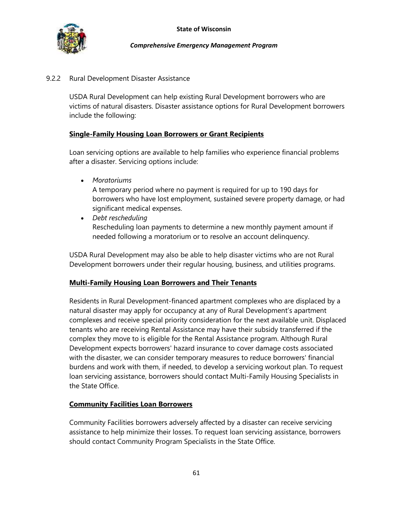

### 9.2.2 Rural Development Disaster Assistance

USDA Rural Development can help existing Rural Development borrowers who are victims of natural disasters. Disaster assistance options for Rural Development borrowers include the following:

# **Single-Family Housing Loan Borrowers or Grant Recipients**

Loan servicing options are available to help families who experience financial problems after a disaster. Servicing options include:

- *Moratoriums* A temporary period where no payment is required for up to 190 days for borrowers who have lost employment, sustained severe property damage, or had significant medical expenses.
- *Debt rescheduling* Rescheduling loan payments to determine a new monthly payment amount if needed following a moratorium or to resolve an account delinquency.

USDA Rural Development may also be able to help disaster victims who are not Rural Development borrowers under their regular housing, business, and utilities programs.

# **Multi-Family Housing Loan Borrowers and Their Tenants**

Residents in Rural Development-financed apartment complexes who are displaced by a natural disaster may apply for occupancy at any of Rural Development's apartment complexes and receive special priority consideration for the next available unit. Displaced tenants who are receiving Rental Assistance may have their subsidy transferred if the complex they move to is eligible for the Rental Assistance program. Although Rural Development expects borrowers' hazard insurance to cover damage costs associated with the disaster, we can consider temporary measures to reduce borrowers' financial burdens and work with them, if needed, to develop a servicing workout plan. To request loan servicing assistance, borrowers should contact Multi-Family Housing Specialists in the State Office.

# **Community Facilities Loan Borrowers**

Community Facilities borrowers adversely affected by a disaster can receive servicing assistance to help minimize their losses. To request loan servicing assistance, borrowers should contact Community Program Specialists in the State Office.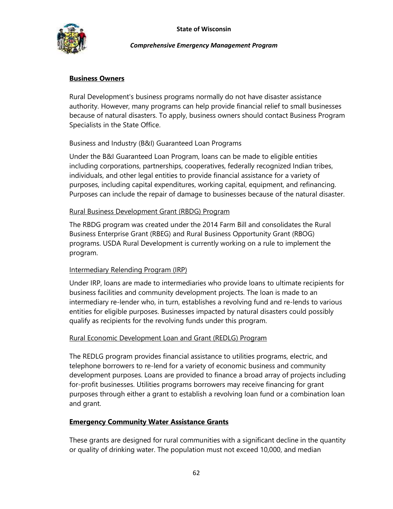

#### *Comprehensive Emergency Management Program*

### **Business Owners**

Rural Development's business programs normally do not have disaster assistance authority. However, many programs can help provide financial relief to small businesses because of natural disasters. To apply, business owners should contact Business Program Specialists in the State Office.

### Business and Industry (B&I) Guaranteed Loan Programs

Under the B&I Guaranteed Loan Program, loans can be made to eligible entities including corporations, partnerships, cooperatives, federally recognized Indian tribes, individuals, and other legal entities to provide financial assistance for a variety of purposes, including capital expenditures, working capital, equipment, and refinancing. Purposes can include the repair of damage to businesses because of the natural disaster.

### Rural Business Development Grant (RBDG) Program

The RBDG program was created under the 2014 Farm Bill and consolidates the Rural Business Enterprise Grant (RBEG) and Rural Business Opportunity Grant (RBOG) programs. USDA Rural Development is currently working on a rule to implement the program.

#### [Intermediary Relending Program \(IRP\)](http://www.rd.usda.gov/programs-services/intermediary-relending-program)

Under IRP, loans are made to intermediaries who provide loans to ultimate recipients for business facilities and community development projects. The loan is made to an intermediary re-lender who, in turn, establishes a revolving fund and re-lends to various entities for eligible purposes. Businesses impacted by natural disasters could possibly qualify as recipients for the revolving funds under this program.

#### Rural Economic Development Loan and Grant (REDLG) Program

The REDLG program provides financial assistance to utilities programs, electric, and telephone borrowers to re-lend for a variety of economic business and community development purposes. Loans are provided to finance a broad array of projects including for-profit businesses. Utilities programs borrowers may receive financing for grant purposes through either a grant to establish a revolving loan fund or a combination loan and grant.

# **Emergency Community Water Assistance Grants**

These grants are designed for rural communities with a significant decline in the quantity or quality of drinking water. The population must not exceed 10,000, and median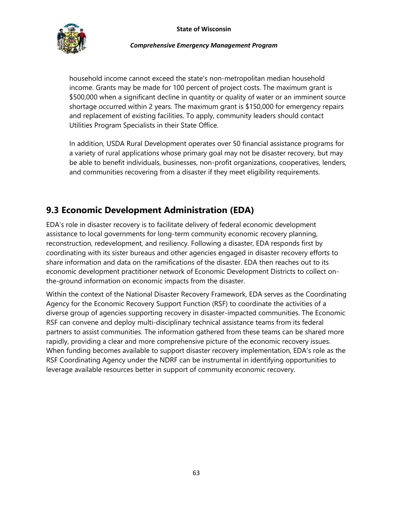

household income cannot exceed the state's non-metropolitan median household income. Grants may be made for 100 percent of project costs. The maximum grant is \$500,000 when a significant decline in quantity or quality of water or an imminent source shortage occurred within 2 years. The maximum grant is \$150,000 for emergency repairs and replacement of existing facilities. To apply, community leaders should contact Utilities Program Specialists in their State Office.

In addition, USDA Rural Development operates over 50 financial assistance programs for a variety of rural applications whose primary goal may not be disaster recovery, but may be able to benefit individuals, businesses, non-profit organizations, cooperatives, lenders, and communities recovering from a disaster if they meet eligibility requirements.

# **9.3 Economic Development Administration (EDA)**

EDA's role in disaster recovery is to facilitate delivery of federal economic development assistance to local governments for long-term community economic recovery planning, reconstruction, redevelopment, and resiliency. Following a disaster, EDA responds first by coordinating with its sister bureaus and other agencies engaged in disaster recovery efforts to share information and data on the ramifications of the disaster. EDA then reaches out to its economic development practitioner network of Economic Development Districts to collect onthe-ground information on economic impacts from the disaster.

Within the context of the National Disaster Recovery Framework, EDA serves as the Coordinating Agency for the Economic Recovery Support Function (RSF) to coordinate the activities of a diverse group of agencies supporting recovery in disaster-impacted communities. The Economic RSF can convene and deploy multi-disciplinary technical assistance teams from its federal partners to assist communities. The information gathered from these teams can be shared more rapidly, providing a clear and more comprehensive picture of the economic recovery issues. When funding becomes available to support disaster recovery implementation, EDA's role as the RSF Coordinating Agency under the NDRF can be instrumental in identifying opportunities to leverage available resources better in support of community economic recovery.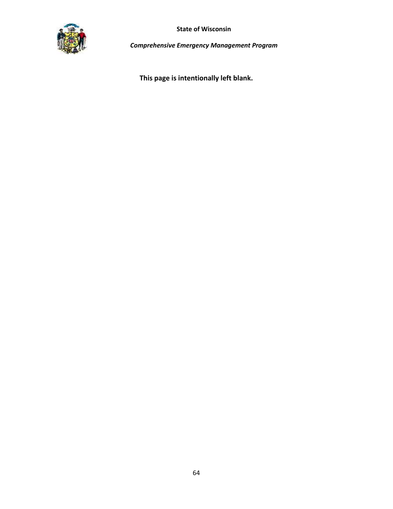

*Comprehensive Emergency Management Program*

**This page is intentionally left blank.**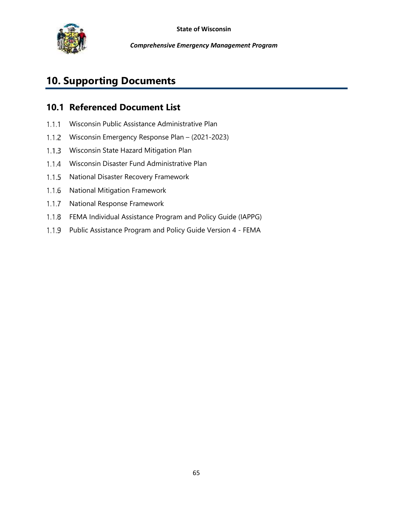

# **10. Supporting Documents**

# **10.1 Referenced Document List**

- $1.1.1$ Wisconsin Public Assistance Administrative Plan
- Wisconsin Emergency Response Plan (2021-2023)
- 1.1.3 Wisconsin State Hazard Mitigation Plan
- 1.1.4 Wisconsin Disaster Fund Administrative Plan
- 1.1.5 National Disaster Recovery Framework
- 1.1.6 National Mitigation Framework
- 1.1.7 National Response Framework
- FEMA Individual Assistance Program and Policy Guide (IAPPG)
- $1.1.9$ Public Assistance Program and Policy Guide Version 4 - FEMA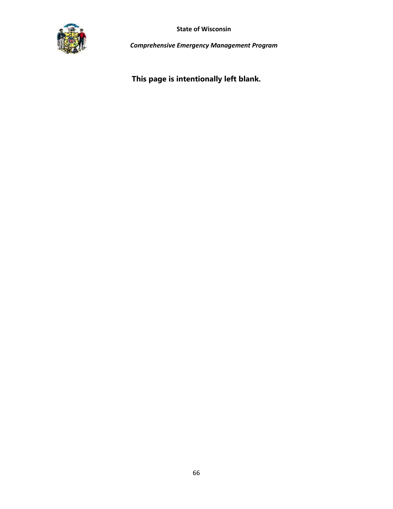

*Comprehensive Emergency Management Program*

**This page is intentionally left blank.**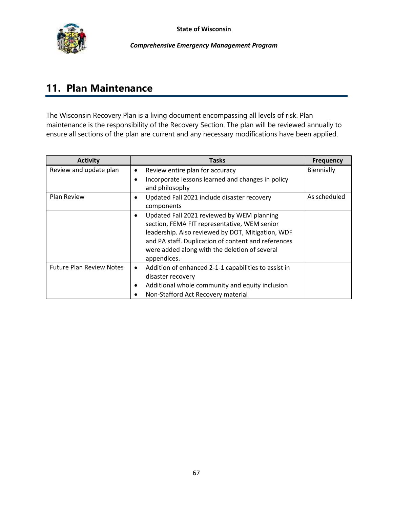

# **11. Plan Maintenance**

The Wisconsin Recovery Plan is a living document encompassing all levels of risk. Plan maintenance is the responsibility of the Recovery Section. The plan will be reviewed annually to ensure all sections of the plan are current and any necessary modifications have been applied.

| <b>Activity</b>                 | <b>Tasks</b>                                                                                                                                                                                                                                                                        | <b>Frequency</b> |
|---------------------------------|-------------------------------------------------------------------------------------------------------------------------------------------------------------------------------------------------------------------------------------------------------------------------------------|------------------|
| Review and update plan          | Review entire plan for accuracy<br>٠<br>Incorporate lessons learned and changes in policy<br>٠<br>and philosophy                                                                                                                                                                    | Biennially       |
| Plan Review                     | Updated Fall 2021 include disaster recovery<br>components                                                                                                                                                                                                                           | As scheduled     |
|                                 | Updated Fall 2021 reviewed by WEM planning<br>$\bullet$<br>section, FEMA FIT representative, WEM senior<br>leadership. Also reviewed by DOT, Mitigation, WDF<br>and PA staff. Duplication of content and references<br>were added along with the deletion of several<br>appendices. |                  |
| <b>Future Plan Review Notes</b> | Addition of enhanced 2-1-1 capabilities to assist in<br>٠<br>disaster recovery<br>Additional whole community and equity inclusion<br>Non-Stafford Act Recovery material                                                                                                             |                  |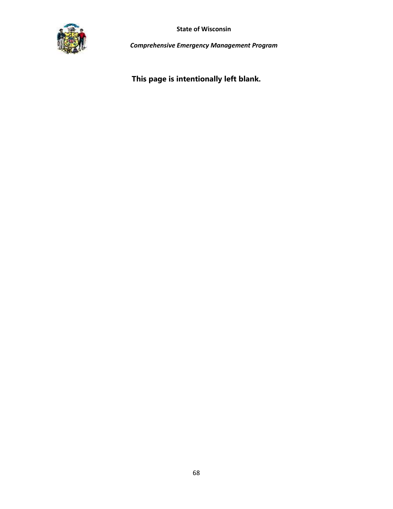

*Comprehensive Emergency Management Program*

**This page is intentionally left blank.**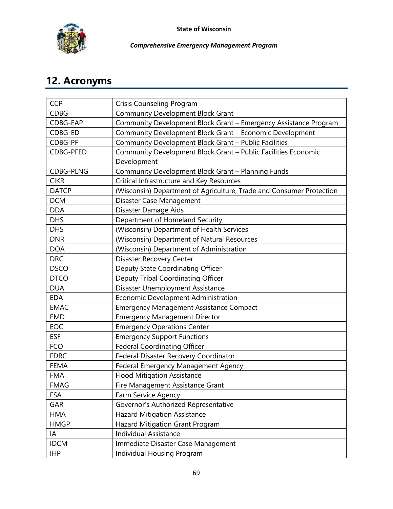

# **12. Acronyms**

| <b>CCP</b>   | Crisis Counseling Program                                            |
|--------------|----------------------------------------------------------------------|
| <b>CDBG</b>  | <b>Community Development Block Grant</b>                             |
| CDBG-EAP     | Community Development Block Grant - Emergency Assistance Program     |
| CDBG-ED      | Community Development Block Grant - Economic Development             |
| CDBG-PF      | Community Development Block Grant - Public Facilities                |
| CDBG-PFED    | Community Development Block Grant - Public Facilities Economic       |
|              | Development                                                          |
| CDBG-PLNG    | Community Development Block Grant - Planning Funds                   |
| <b>CIKR</b>  | Critical Infrastructure and Key Resources                            |
| <b>DATCP</b> | (Wisconsin) Department of Agriculture, Trade and Consumer Protection |
| <b>DCM</b>   | Disaster Case Management                                             |
| <b>DDA</b>   | Disaster Damage Aids                                                 |
| <b>DHS</b>   | Department of Homeland Security                                      |
| <b>DHS</b>   | (Wisconsin) Department of Health Services                            |
| <b>DNR</b>   | (Wisconsin) Department of Natural Resources                          |
| <b>DOA</b>   | (Wisconsin) Department of Administration                             |
| <b>DRC</b>   | Disaster Recovery Center                                             |
| <b>DSCO</b>  | Deputy State Coordinating Officer                                    |
| <b>DTCO</b>  | Deputy Tribal Coordinating Officer                                   |
| <b>DUA</b>   | Disaster Unemployment Assistance                                     |
| <b>EDA</b>   | Economic Development Administration                                  |
| <b>EMAC</b>  | <b>Emergency Management Assistance Compact</b>                       |
| <b>EMD</b>   | <b>Emergency Management Director</b>                                 |
| EOC          | <b>Emergency Operations Center</b>                                   |
| <b>ESF</b>   | <b>Emergency Support Functions</b>                                   |
| <b>FCO</b>   | <b>Federal Coordinating Officer</b>                                  |
| <b>FDRC</b>  | Federal Disaster Recovery Coordinator                                |
| <b>FEMA</b>  | Federal Emergency Management Agency                                  |
| <b>FMA</b>   | <b>Flood Mitigation Assistance</b>                                   |
| <b>FMAG</b>  | Fire Management Assistance Grant                                     |
| <b>FSA</b>   | Farm Service Agency                                                  |
| <b>GAR</b>   | Governor's Authorized Representative                                 |
| <b>HMA</b>   | <b>Hazard Mitigation Assistance</b>                                  |
| <b>HMGP</b>  | Hazard Mitigation Grant Program                                      |
| IA           | <b>Individual Assistance</b>                                         |
| <b>IDCM</b>  | Immediate Disaster Case Management                                   |
| <b>IHP</b>   | Individual Housing Program                                           |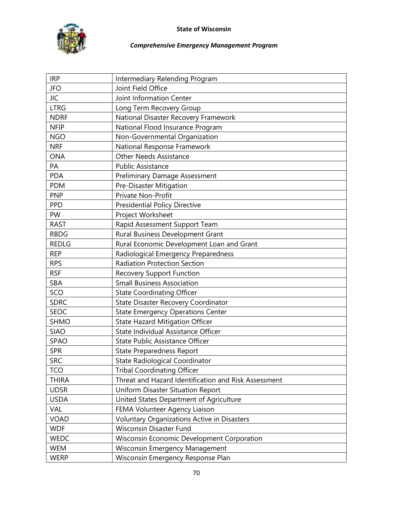

| <b>IRP</b>   | Intermediary Relending Program                       |
|--------------|------------------------------------------------------|
| <b>JFO</b>   | Joint Field Office                                   |
| <b>JIC</b>   | Joint Information Center                             |
| <b>LTRG</b>  | Long Term Recovery Group                             |
| <b>NDRF</b>  | National Disaster Recovery Framework                 |
| <b>NFIP</b>  | National Flood Insurance Program                     |
| <b>NGO</b>   | Non-Governmental Organization                        |
| <b>NRF</b>   | National Response Framework                          |
| <b>ONA</b>   | <b>Other Needs Assistance</b>                        |
| PA           | <b>Public Assistance</b>                             |
| <b>PDA</b>   | <b>Preliminary Damage Assessment</b>                 |
| <b>PDM</b>   | Pre-Disaster Mitigation                              |
| <b>PNP</b>   | Private Non-Profit                                   |
| <b>PPD</b>   | <b>Presidential Policy Directive</b>                 |
| PW           | Project Worksheet                                    |
| <b>RAST</b>  | Rapid Assessment Support Team                        |
| <b>RBDG</b>  | Rural Business Development Grant                     |
| <b>REDLG</b> | Rural Economic Development Loan and Grant            |
| <b>REP</b>   | Radiological Emergency Preparedness                  |
| <b>RPS</b>   | <b>Radiation Protection Section</b>                  |
| <b>RSF</b>   | <b>Recovery Support Function</b>                     |
| <b>SBA</b>   | <b>Small Business Association</b>                    |
| SCO          | <b>State Coordinating Officer</b>                    |
| <b>SDRC</b>  | State Disaster Recovery Coordinator                  |
| <b>SEOC</b>  | <b>State Emergency Operations Center</b>             |
| <b>SHMO</b>  | State Hazard Mitigation Officer                      |
| <b>SIAO</b>  | State Individual Assistance Officer                  |
| <b>SPAO</b>  | State Public Assistance Officer                      |
| <b>SPR</b>   | <b>State Preparedness Report</b>                     |
| <b>SRC</b>   | <b>State Radiological Coordinator</b>                |
| <b>TCO</b>   | <b>Tribal Coordinating Officer</b>                   |
| <b>THIRA</b> | Threat and Hazard Identification and Risk Assessment |
| <b>UDSR</b>  | <b>Uniform Disaster Situation Report</b>             |
| <b>USDA</b>  | United States Department of Agriculture              |
| VAL          | FEMA Volunteer Agency Liaison                        |
| VOAD         | <b>Voluntary Organizations Active in Disasters</b>   |
| <b>WDF</b>   | Wisconsin Disaster Fund                              |
| <b>WEDC</b>  | <b>Wisconsin Economic Development Corporation</b>    |
| <b>WEM</b>   | <b>Wisconsin Emergency Management</b>                |
| <b>WERP</b>  | Wisconsin Emergency Response Plan                    |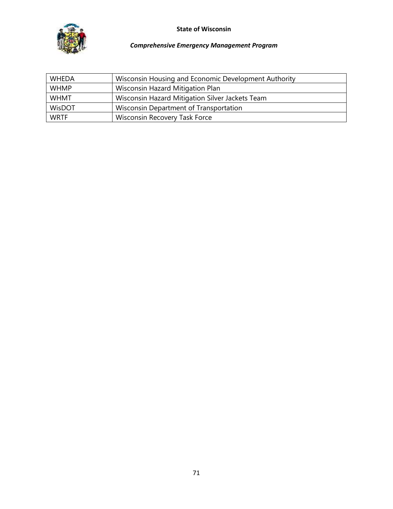

# *Comprehensive Emergency Management Program*

| WHEDA       | Wisconsin Housing and Economic Development Authority |
|-------------|------------------------------------------------------|
| <b>WHMP</b> | Wisconsin Hazard Mitigation Plan                     |
| <b>WHMT</b> | Wisconsin Hazard Mitigation Silver Jackets Team      |
| WisDOT      | Wisconsin Department of Transportation               |
| <b>WRTF</b> | Wisconsin Recovery Task Force                        |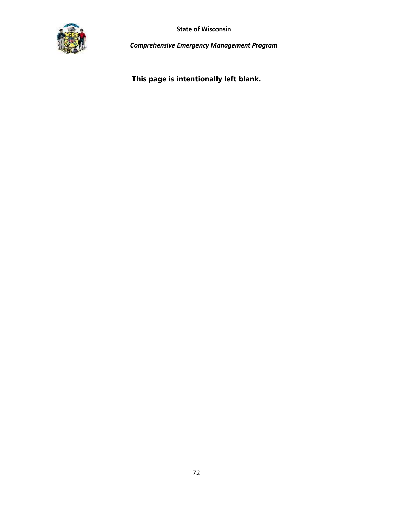

*Comprehensive Emergency Management Program*

**This page is intentionally left blank.**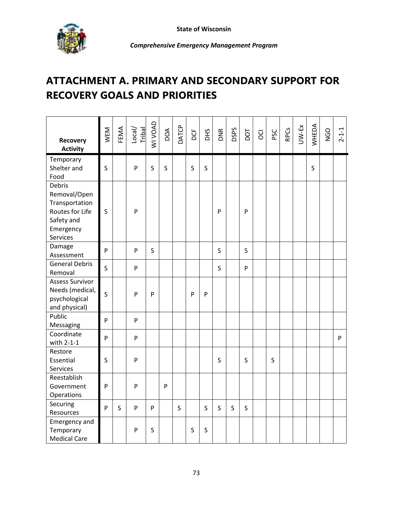

# **ATTACHMENT A. PRIMARY AND SECONDARY SUPPORT FOR RECOVERY GOALS AND PRIORITIES**

| Recovery<br><b>Activity</b>                                                                        | <b>WEM</b>   | FEMA | Local/<br>Tribal | <b>AIVOAD</b> | DOA          | DATCP        | DCF | <b>CHC</b>   | <b>DNR</b> | DSPS         | TOQ          | <b>OCI</b> | PSC     | RPCs | UW-Ex | WHEDA       | NGO | $2 - 1 - 1$ |
|----------------------------------------------------------------------------------------------------|--------------|------|------------------|---------------|--------------|--------------|-----|--------------|------------|--------------|--------------|------------|---------|------|-------|-------------|-----|-------------|
| Temporary<br>Shelter and<br>Food                                                                   | S            |      | P                | S             | $\mathsf{S}$ |              | S   | $\mathsf{S}$ |            |              |              |            |         |      |       | $\mathsf S$ |     |             |
| Debris<br>Removal/Open<br>Transportation<br>Routes for Life<br>Safety and<br>Emergency<br>Services | S            |      | P                |               |              |              |     |              | P          |              | P            |            |         |      |       |             |     |             |
| Damage<br>Assessment                                                                               | P            |      | P                | S             |              |              |     |              | S          |              | S            |            |         |      |       |             |     |             |
| <b>General Debris</b><br>Removal                                                                   | $\mathsf{S}$ |      | $\mathsf{P}$     |               |              |              |     |              | S          |              | P            |            |         |      |       |             |     |             |
| <b>Assess Survivor</b><br>Needs (medical,<br>psychological<br>and physical)                        | S            |      | P                | P             |              |              | P   | P            |            |              |              |            |         |      |       |             |     |             |
| Public<br>Messaging                                                                                | P            |      | $\mathsf{P}$     |               |              |              |     |              |            |              |              |            |         |      |       |             |     |             |
| Coordinate<br>with 2-1-1                                                                           | P            |      | P                |               |              |              |     |              |            |              |              |            |         |      |       |             |     | P           |
| Restore<br>Essential<br>Services                                                                   | S            |      | P                |               |              |              |     |              | S          |              | S            |            | $\sf S$ |      |       |             |     |             |
| Reestablish<br>Government<br>Operations                                                            | P            |      | P                |               | P            |              |     |              |            |              |              |            |         |      |       |             |     |             |
| Securing<br>Resources                                                                              | P            | S    | P                | P             |              | $\mathsf{S}$ |     | $\mathsf{S}$ | S          | $\mathsf{S}$ | $\mathsf{S}$ |            |         |      |       |             |     |             |
| Emergency and<br>Temporary<br><b>Medical Care</b>                                                  |              |      | P                | S             |              |              | S   | $\sf S$      |            |              |              |            |         |      |       |             |     |             |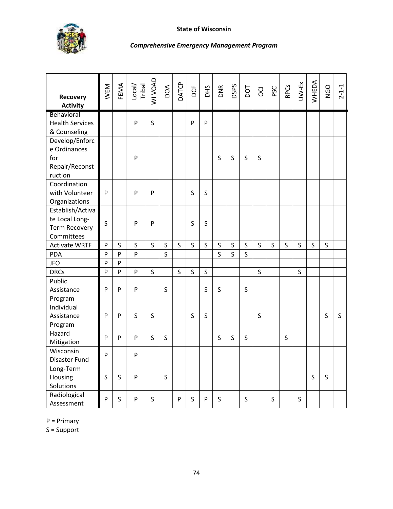

#### *Comprehensive Emergency Management Program*

| <b>Recovery</b><br><b>Activity</b> | <b>WEM</b>   | FEMA    | Local/<br>Tribal | <b>VIVOAD</b> | DOA          | DATCP        | DCF          | <b>DHS</b>   | <b>DNR</b>  | DSPS         | TOO | <b>OCI</b>   | PSC          | RPCS | UW-Ex        | WHEDA       | NGO | $2 - 1 - 1$ |
|------------------------------------|--------------|---------|------------------|---------------|--------------|--------------|--------------|--------------|-------------|--------------|-----|--------------|--------------|------|--------------|-------------|-----|-------------|
| Behavioral                         |              |         |                  |               |              |              |              |              |             |              |     |              |              |      |              |             |     |             |
| <b>Health Services</b>             |              |         | P                | S             |              |              | P            | P            |             |              |     |              |              |      |              |             |     |             |
| & Counseling                       |              |         |                  |               |              |              |              |              |             |              |     |              |              |      |              |             |     |             |
| Develop/Enforc                     |              |         |                  |               |              |              |              |              |             |              |     |              |              |      |              |             |     |             |
| e Ordinances                       |              |         |                  |               |              |              |              |              |             |              |     |              |              |      |              |             |     |             |
| for                                |              |         | P                |               |              |              |              |              | S           | S            | S   | S            |              |      |              |             |     |             |
| Repair/Reconst                     |              |         |                  |               |              |              |              |              |             |              |     |              |              |      |              |             |     |             |
| ruction                            |              |         |                  |               |              |              |              |              |             |              |     |              |              |      |              |             |     |             |
| Coordination                       |              |         | P                | P             |              |              | S            | S            |             |              |     |              |              |      |              |             |     |             |
| with Volunteer                     | P            |         |                  |               |              |              |              |              |             |              |     |              |              |      |              |             |     |             |
| Organizations<br>Establish/Activa  |              |         |                  |               |              |              |              |              |             |              |     |              |              |      |              |             |     |             |
| te Local Long-                     |              |         |                  |               |              |              |              |              |             |              |     |              |              |      |              |             |     |             |
| <b>Term Recovery</b>               | $\mathsf{S}$ |         | P                | P             |              |              | S            | S            |             |              |     |              |              |      |              |             |     |             |
| Committees                         |              |         |                  |               |              |              |              |              |             |              |     |              |              |      |              |             |     |             |
| <b>Activate WRTF</b>               | $\mathsf{P}$ | $\sf S$ | $\sf S$          | S             | S            | $\mathsf S$  | S            | $\mathsf{S}$ | $\sf S$     | $\sf S$      | S   | $\mathsf{S}$ | $\mathsf{S}$ | S    | S            | $\mathsf S$ | S   |             |
| <b>PDA</b>                         | P            | P       | P                |               | S            |              |              |              | S           | $\mathsf{S}$ | S   |              |              |      |              |             |     |             |
| <b>JFO</b>                         | P            | P       |                  |               |              |              |              |              |             |              |     |              |              |      |              |             |     |             |
| <b>DRCs</b>                        | P            | P       | P                | S             |              | $\mathsf{S}$ | $\mathsf{S}$ | S            |             |              |     | $\mathsf{S}$ |              |      | $\mathsf{S}$ |             |     |             |
| Public                             |              |         |                  |               |              |              |              |              |             |              |     |              |              |      |              |             |     |             |
| Assistance                         | P            | P       | P                |               | S            |              |              | S            | S           |              | S   |              |              |      |              |             |     |             |
| Program                            |              |         |                  |               |              |              |              |              |             |              |     |              |              |      |              |             |     |             |
| Individual                         |              |         |                  |               |              |              |              |              |             |              |     |              |              |      |              |             |     |             |
| Assistance                         | P            | P       | $\mathsf S$      | $\mathsf S$   |              |              | S            | S            |             |              |     | S            |              |      |              |             | S   | S           |
| Program                            |              |         |                  |               |              |              |              |              |             |              |     |              |              |      |              |             |     |             |
| Hazard                             |              |         |                  |               |              |              |              |              |             |              |     |              |              |      |              |             |     |             |
| Mitigation                         | P            | P       | P                | S             | $\mathsf{S}$ |              |              |              | $\mathsf S$ | S            | S   |              |              | S    |              |             |     |             |
| Wisconsin                          | P            |         | P                |               |              |              |              |              |             |              |     |              |              |      |              |             |     |             |
| Disaster Fund                      |              |         |                  |               |              |              |              |              |             |              |     |              |              |      |              |             |     |             |
| Long-Term                          |              |         |                  |               |              |              |              |              |             |              |     |              |              |      |              |             |     |             |
| Housing                            | S            | S       | P                |               | S            |              |              |              |             |              |     |              |              |      |              | S           | S   |             |
| Solutions                          |              |         |                  |               |              |              |              |              |             |              |     |              |              |      |              |             |     |             |
| Radiological<br>Assessment         | P            | S       | P                | S             |              | P            | S            | P            | S           |              | S   |              | S            |      | $\mathsf{S}$ |             |     |             |

P = Primary

S = Support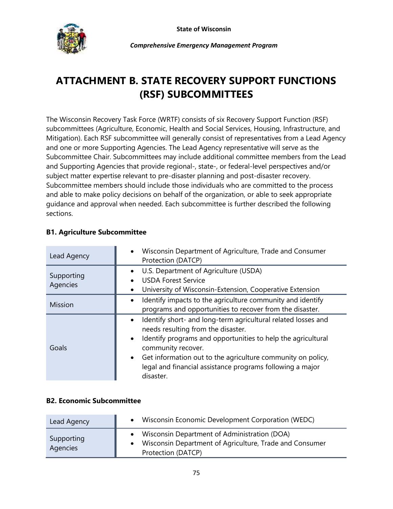



# **ATTACHMENT B. STATE RECOVERY SUPPORT FUNCTIONS (RSF) SUBCOMMITTEES**

The Wisconsin Recovery Task Force (WRTF) consists of six Recovery Support Function (RSF) subcommittees (Agriculture, Economic, Health and Social Services, Housing, Infrastructure, and Mitigation). Each RSF subcommittee will generally consist of representatives from a Lead Agency and one or more Supporting Agencies. The Lead Agency representative will serve as the Subcommittee Chair. Subcommittees may include additional committee members from the Lead and Supporting Agencies that provide regional-, state-, or federal-level perspectives and/or subject matter expertise relevant to pre-disaster planning and post-disaster recovery. Subcommittee members should include those individuals who are committed to the process and able to make policy decisions on behalf of the organization, or able to seek appropriate guidance and approval when needed. Each subcommittee is further described the following sections.

| Lead Agency            | Wisconsin Department of Agriculture, Trade and Consumer<br>$\bullet$<br>Protection (DATCP)                                                                                                                                                                                                                                                                                |
|------------------------|---------------------------------------------------------------------------------------------------------------------------------------------------------------------------------------------------------------------------------------------------------------------------------------------------------------------------------------------------------------------------|
| Supporting<br>Agencies | U.S. Department of Agriculture (USDA)<br>$\bullet$<br><b>USDA Forest Service</b><br>$\bullet$<br>University of Wisconsin-Extension, Cooperative Extension<br>$\bullet$                                                                                                                                                                                                    |
| Mission                | Identify impacts to the agriculture community and identify<br>$\bullet$<br>programs and opportunities to recover from the disaster.                                                                                                                                                                                                                                       |
| Goals                  | Identify short- and long-term agricultural related losses and<br>$\bullet$<br>needs resulting from the disaster.<br>Identify programs and opportunities to help the agricultural<br>$\bullet$<br>community recover.<br>Get information out to the agriculture community on policy,<br>$\bullet$<br>legal and financial assistance programs following a major<br>disaster. |

### **B1. Agriculture Subcommittee**

### **B2. Economic Subcommittee**

| Lead Agency            | Wisconsin Economic Development Corporation (WEDC)                                                                               |
|------------------------|---------------------------------------------------------------------------------------------------------------------------------|
| Supporting<br>Agencies | • Wisconsin Department of Administration (DOA)<br>Wisconsin Department of Agriculture, Trade and Consumer<br>Protection (DATCP) |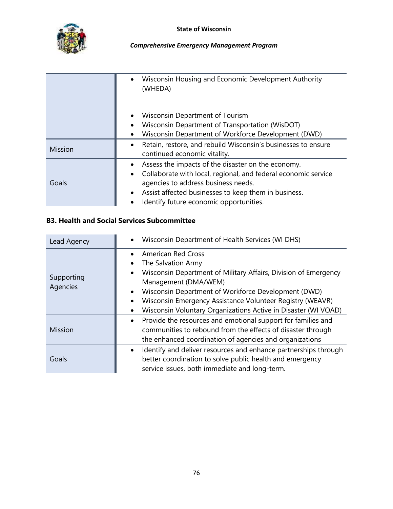

|         | Wisconsin Housing and Economic Development Authority<br>(WHEDA)                                                                                                                                                                                                                          |
|---------|------------------------------------------------------------------------------------------------------------------------------------------------------------------------------------------------------------------------------------------------------------------------------------------|
|         | Wisconsin Department of Tourism<br>Wisconsin Department of Transportation (WisDOT)<br>Wisconsin Department of Workforce Development (DWD)                                                                                                                                                |
| Mission | Retain, restore, and rebuild Wisconsin's businesses to ensure<br>$\bullet$<br>continued economic vitality.                                                                                                                                                                               |
| Goals   | Assess the impacts of the disaster on the economy.<br>Collaborate with local, regional, and federal economic service<br>$\bullet$<br>agencies to address business needs.<br>Assist affected businesses to keep them in business.<br>$\bullet$<br>Identify future economic opportunities. |

### **B3. Health and Social Services Subcommittee**

| Lead Agency            | Wisconsin Department of Health Services (WI DHS)<br>$\bullet$                                                                                                                                                                                                                                                                                                                             |
|------------------------|-------------------------------------------------------------------------------------------------------------------------------------------------------------------------------------------------------------------------------------------------------------------------------------------------------------------------------------------------------------------------------------------|
| Supporting<br>Agencies | <b>American Red Cross</b><br>$\bullet$<br>The Salvation Army<br>٠<br>Wisconsin Department of Military Affairs, Division of Emergency<br>$\bullet$<br>Management (DMA/WEM)<br>Wisconsin Department of Workforce Development (DWD)<br>$\bullet$<br>Wisconsin Emergency Assistance Volunteer Registry (WEAVR)<br>$\bullet$<br>Wisconsin Voluntary Organizations Active in Disaster (WI VOAD) |
| <b>Mission</b>         | Provide the resources and emotional support for families and<br>$\bullet$<br>communities to rebound from the effects of disaster through<br>the enhanced coordination of agencies and organizations                                                                                                                                                                                       |
| Goals                  | • Identify and deliver resources and enhance partnerships through<br>better coordination to solve public health and emergency<br>service issues, both immediate and long-term.                                                                                                                                                                                                            |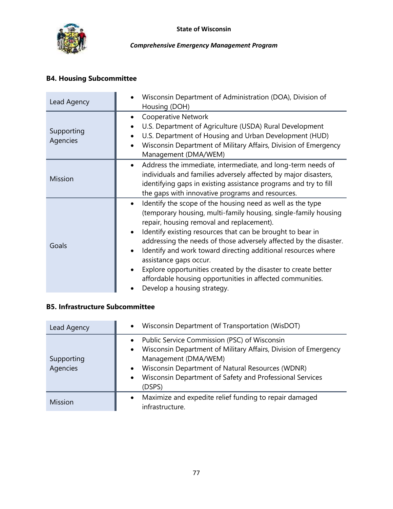

### **B4. Housing Subcommittee**

| Lead Agency            | Wisconsin Department of Administration (DOA), Division of<br>Housing (DOH)                                                                                                                                                                                                                                                                                                                                                                                                                                                                                                                                                 |
|------------------------|----------------------------------------------------------------------------------------------------------------------------------------------------------------------------------------------------------------------------------------------------------------------------------------------------------------------------------------------------------------------------------------------------------------------------------------------------------------------------------------------------------------------------------------------------------------------------------------------------------------------------|
| Supporting<br>Agencies | <b>Cooperative Network</b><br>$\bullet$<br>U.S. Department of Agriculture (USDA) Rural Development<br>$\bullet$<br>U.S. Department of Housing and Urban Development (HUD)<br>$\bullet$<br>Wisconsin Department of Military Affairs, Division of Emergency<br>Management (DMA/WEM)                                                                                                                                                                                                                                                                                                                                          |
| Mission                | Address the immediate, intermediate, and long-term needs of<br>$\bullet$<br>individuals and families adversely affected by major disasters,<br>identifying gaps in existing assistance programs and try to fill<br>the gaps with innovative programs and resources.                                                                                                                                                                                                                                                                                                                                                        |
| Goals                  | Identify the scope of the housing need as well as the type<br>$\bullet$<br>(temporary housing, multi-family housing, single-family housing<br>repair, housing removal and replacement).<br>Identify existing resources that can be brought to bear in<br>$\bullet$<br>addressing the needs of those adversely affected by the disaster.<br>Identify and work toward directing additional resources where<br>$\bullet$<br>assistance gaps occur.<br>Explore opportunities created by the disaster to create better<br>$\bullet$<br>affordable housing opportunities in affected communities.<br>Develop a housing strategy. |

### **B5. Infrastructure Subcommittee**

| Lead Agency            | Wisconsin Department of Transportation (WisDOT)<br>$\bullet$                                                                                                                                                                                                                                               |
|------------------------|------------------------------------------------------------------------------------------------------------------------------------------------------------------------------------------------------------------------------------------------------------------------------------------------------------|
| Supporting<br>Agencies | Public Service Commission (PSC) of Wisconsin<br>$\bullet$<br>Wisconsin Department of Military Affairs, Division of Emergency<br>$\bullet$<br>Management (DMA/WEM)<br>Wisconsin Department of Natural Resources (WDNR)<br>$\bullet$<br>• Wisconsin Department of Safety and Professional Services<br>(DSPS) |
| <b>Mission</b>         | Maximize and expedite relief funding to repair damaged<br>$\bullet$<br>infrastructure.                                                                                                                                                                                                                     |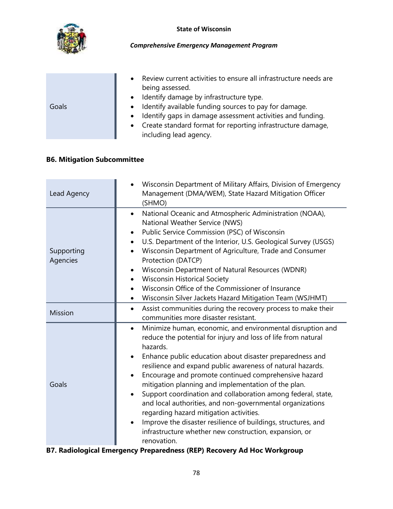

#### *Comprehensive Emergency Management Program*

|       | Review current activities to ensure all infrastructure needs are<br>being assessed. |
|-------|-------------------------------------------------------------------------------------|
|       | Identify damage by infrastructure type.<br>$\bullet$                                |
| Goals | Identify available funding sources to pay for damage.                               |
|       | Identify gaps in damage assessment activities and funding.<br>$\bullet$             |
|       | Create standard format for reporting infrastructure damage,<br>$\bullet$            |
|       | including lead agency.                                                              |

### **B6. Mitigation Subcommittee**

| Lead Agency            | Wisconsin Department of Military Affairs, Division of Emergency<br>Management (DMA/WEM), State Hazard Mitigation Officer<br>(SHMO)                                                                                                                                                                                                                                                                                                                                                                                                                                                                                                                                                                                                                                  |
|------------------------|---------------------------------------------------------------------------------------------------------------------------------------------------------------------------------------------------------------------------------------------------------------------------------------------------------------------------------------------------------------------------------------------------------------------------------------------------------------------------------------------------------------------------------------------------------------------------------------------------------------------------------------------------------------------------------------------------------------------------------------------------------------------|
| Supporting<br>Agencies | National Oceanic and Atmospheric Administration (NOAA),<br>$\bullet$<br>National Weather Service (NWS)<br>Public Service Commission (PSC) of Wisconsin<br>$\bullet$<br>U.S. Department of the Interior, U.S. Geological Survey (USGS)<br>$\bullet$<br>Wisconsin Department of Agriculture, Trade and Consumer<br>Protection (DATCP)<br>Wisconsin Department of Natural Resources (WDNR)<br>٠<br><b>Wisconsin Historical Society</b><br>$\bullet$<br>Wisconsin Office of the Commissioner of Insurance<br>$\bullet$<br>Wisconsin Silver Jackets Hazard Mitigation Team (WSJHMT)<br>$\bullet$                                                                                                                                                                         |
| Mission                | Assist communities during the recovery process to make their<br>$\bullet$<br>communities more disaster resistant.                                                                                                                                                                                                                                                                                                                                                                                                                                                                                                                                                                                                                                                   |
| Goals                  | Minimize human, economic, and environmental disruption and<br>$\bullet$<br>reduce the potential for injury and loss of life from natural<br>hazards.<br>Enhance public education about disaster preparedness and<br>$\bullet$<br>resilience and expand public awareness of natural hazards.<br>Encourage and promote continued comprehensive hazard<br>$\bullet$<br>mitigation planning and implementation of the plan.<br>Support coordination and collaboration among federal, state,<br>$\bullet$<br>and local authorities, and non-governmental organizations<br>regarding hazard mitigation activities.<br>Improve the disaster resilience of buildings, structures, and<br>$\bullet$<br>infrastructure whether new construction, expansion, or<br>renovation. |

#### **B7. Radiological Emergency Preparedness (REP) Recovery Ad Hoc Workgroup**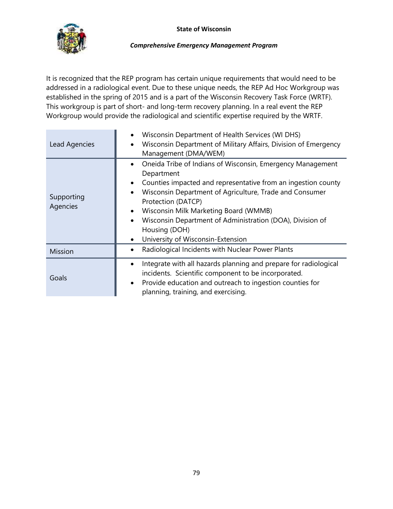

It is recognized that the REP program has certain unique requirements that would need to be addressed in a radiological event. Due to these unique needs, the REP Ad Hoc Workgroup was established in the spring of 2015 and is a part of the Wisconsin Recovery Task Force (WRTF). This workgroup is part of short- and long-term recovery planning. In a real event the REP Workgroup would provide the radiological and scientific expertise required by the WRTF.

| Lead Agencies          | Wisconsin Department of Health Services (WI DHS)<br>$\bullet$<br>Wisconsin Department of Military Affairs, Division of Emergency<br>$\bullet$<br>Management (DMA/WEM)                                                                                                                                                                                                                                                                                                |
|------------------------|----------------------------------------------------------------------------------------------------------------------------------------------------------------------------------------------------------------------------------------------------------------------------------------------------------------------------------------------------------------------------------------------------------------------------------------------------------------------|
| Supporting<br>Agencies | Oneida Tribe of Indians of Wisconsin, Emergency Management<br>$\bullet$<br>Department<br>Counties impacted and representative from an ingestion county<br>$\bullet$<br>Wisconsin Department of Agriculture, Trade and Consumer<br>$\bullet$<br>Protection (DATCP)<br>Wisconsin Milk Marketing Board (WMMB)<br>$\bullet$<br>Wisconsin Department of Administration (DOA), Division of<br>$\bullet$<br>Housing (DOH)<br>University of Wisconsin-Extension<br>$\bullet$ |
| Mission                | Radiological Incidents with Nuclear Power Plants<br>$\bullet$                                                                                                                                                                                                                                                                                                                                                                                                        |
| Goals                  | Integrate with all hazards planning and prepare for radiological<br>incidents. Scientific component to be incorporated.<br>Provide education and outreach to ingestion counties for<br>$\bullet$<br>planning, training, and exercising.                                                                                                                                                                                                                              |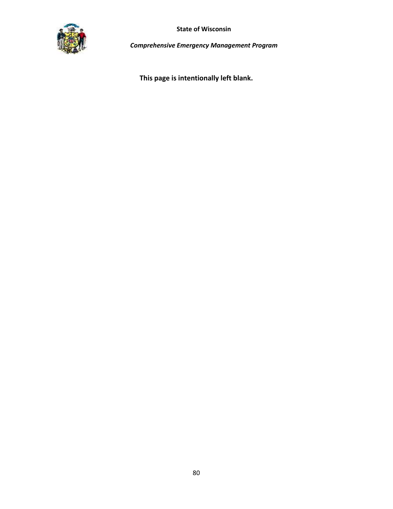

*Comprehensive Emergency Management Program*

**This page is intentionally left blank.**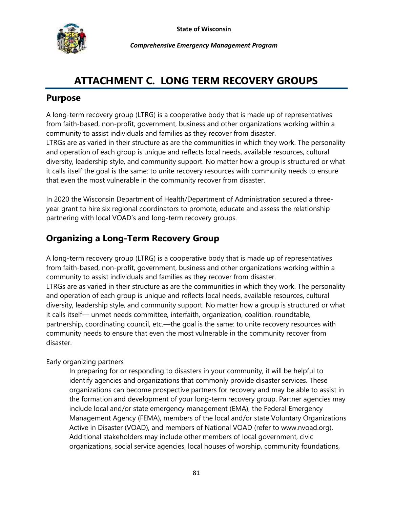

# **ATTACHMENT C. LONG TERM RECOVERY GROUPS**

### **Purpose**

A long-term recovery group (LTRG) is a cooperative body that is made up of representatives from faith-based, non-profit, government, business and other organizations working within a community to assist individuals and families as they recover from disaster.

LTRGs are as varied in their structure as are the communities in which they work. The personality and operation of each group is unique and reflects local needs, available resources, cultural diversity, leadership style, and community support. No matter how a group is structured or what it calls itself the goal is the same: to unite recovery resources with community needs to ensure that even the most vulnerable in the community recover from disaster.

In 2020 the Wisconsin Department of Health/Department of Administration secured a threeyear grant to hire six regional coordinators to promote, educate and assess the relationship partnering with local VOAD's and long-term recovery groups.

## **Organizing a Long-Term Recovery Group**

A long-term recovery group (LTRG) is a cooperative body that is made up of representatives from faith-based, non-profit, government, business and other organizations working within a community to assist individuals and families as they recover from disaster. LTRGs are as varied in their structure as are the communities in which they work. The personality and operation of each group is unique and reflects local needs, available resources, cultural diversity, leadership style, and community support. No matter how a group is structured or what it calls itself— unmet needs committee, interfaith, organization, coalition, roundtable, partnership, coordinating council, etc.—the goal is the same: to unite recovery resources with community needs to ensure that even the most vulnerable in the community recover from disaster.

Early organizing partners

In preparing for or responding to disasters in your community, it will be helpful to identify agencies and organizations that commonly provide disaster services. These organizations can become prospective partners for recovery and may be able to assist in the formation and development of your long-term recovery group. Partner agencies may include local and/or state emergency management (EMA), the Federal Emergency Management Agency (FEMA), members of the local and/or state Voluntary Organizations Active in Disaster (VOAD), and members of National VOAD (refer to www.nvoad.org). Additional stakeholders may include other members of local government, civic organizations, social service agencies, local houses of worship, community foundations,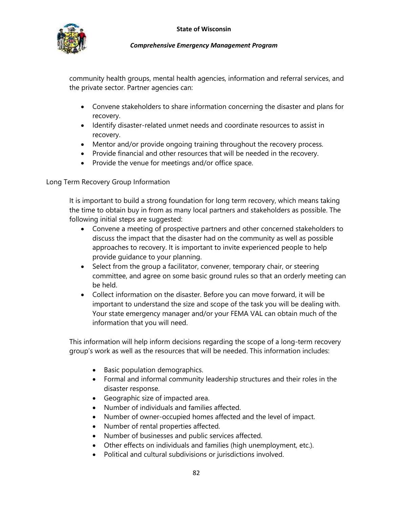

#### *Comprehensive Emergency Management Program*

community health groups, mental health agencies, information and referral services, and the private sector. Partner agencies can:

- Convene stakeholders to share information concerning the disaster and plans for recovery.
- Identify disaster-related unmet needs and coordinate resources to assist in recovery.
- Mentor and/or provide ongoing training throughout the recovery process.
- Provide financial and other resources that will be needed in the recovery.
- Provide the venue for meetings and/or office space.

Long Term Recovery Group Information

It is important to build a strong foundation for long term recovery, which means taking the time to obtain buy in from as many local partners and stakeholders as possible. The following initial steps are suggested:

- Convene a meeting of prospective partners and other concerned stakeholders to discuss the impact that the disaster had on the community as well as possible approaches to recovery. It is important to invite experienced people to help provide guidance to your planning.
- Select from the group a facilitator, convener, temporary chair, or steering committee, and agree on some basic ground rules so that an orderly meeting can be held.
- Collect information on the disaster. Before you can move forward, it will be important to understand the size and scope of the task you will be dealing with. Your state emergency manager and/or your FEMA VAL can obtain much of the information that you will need.

This information will help inform decisions regarding the scope of a long-term recovery group's work as well as the resources that will be needed. This information includes:

- Basic population demographics.
- Formal and informal community leadership structures and their roles in the disaster response.
- Geographic size of impacted area.
- Number of individuals and families affected.
- Number of owner-occupied homes affected and the level of impact.
- Number of rental properties affected.
- Number of businesses and public services affected.
- Other effects on individuals and families (high unemployment, etc.).
- Political and cultural subdivisions or jurisdictions involved.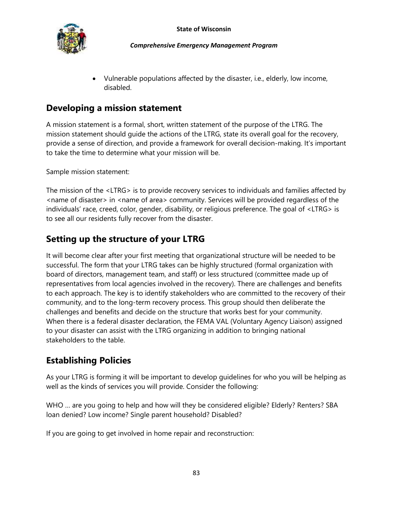

• Vulnerable populations affected by the disaster, i.e., elderly, low income, disabled.

## **Developing a mission statement**

A mission statement is a formal, short, written statement of the purpose of the LTRG. The mission statement should guide the actions of the LTRG, state its overall goal for the recovery, provide a sense of direction, and provide a framework for overall decision-making. It's important to take the time to determine what your mission will be.

Sample mission statement:

The mission of the <LTRG> is to provide recovery services to individuals and families affected by <name of disaster> in <name of area> community. Services will be provided regardless of the individuals' race, creed, color, gender, disability, or religious preference. The goal of <LTRG> is to see all our residents fully recover from the disaster.

## **Setting up the structure of your LTRG**

It will become clear after your first meeting that organizational structure will be needed to be successful. The form that your LTRG takes can be highly structured (formal organization with board of directors, management team, and staff) or less structured (committee made up of representatives from local agencies involved in the recovery). There are challenges and benefits to each approach. The key is to identify stakeholders who are committed to the recovery of their community, and to the long-term recovery process. This group should then deliberate the challenges and benefits and decide on the structure that works best for your community. When there is a federal disaster declaration, the FEMA VAL (Voluntary Agency Liaison) assigned to your disaster can assist with the LTRG organizing in addition to bringing national stakeholders to the table.

## **Establishing Policies**

As your LTRG is forming it will be important to develop guidelines for who you will be helping as well as the kinds of services you will provide. Consider the following:

WHO ... are you going to help and how will they be considered eligible? Elderly? Renters? SBA loan denied? Low income? Single parent household? Disabled?

If you are going to get involved in home repair and reconstruction: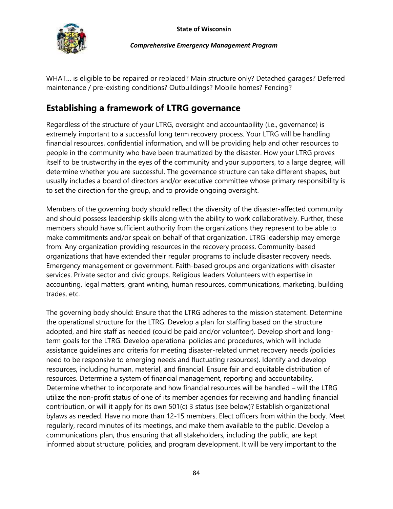WHAT… is eligible to be repaired or replaced? Main structure only? Detached garages? Deferred maintenance / pre-existing conditions? Outbuildings? Mobile homes? Fencing?

## **Establishing a framework of LTRG governance**

Regardless of the structure of your LTRG, oversight and accountability (i.e., governance) is extremely important to a successful long term recovery process. Your LTRG will be handling financial resources, confidential information, and will be providing help and other resources to people in the community who have been traumatized by the disaster. How your LTRG proves itself to be trustworthy in the eyes of the community and your supporters, to a large degree, will determine whether you are successful. The governance structure can take different shapes, but usually includes a board of directors and/or executive committee whose primary responsibility is to set the direction for the group, and to provide ongoing oversight.

Members of the governing body should reflect the diversity of the disaster-affected community and should possess leadership skills along with the ability to work collaboratively. Further, these members should have sufficient authority from the organizations they represent to be able to make commitments and/or speak on behalf of that organization. LTRG leadership may emerge from: Any organization providing resources in the recovery process. Community-based organizations that have extended their regular programs to include disaster recovery needs. Emergency management or government. Faith-based groups and organizations with disaster services. Private sector and civic groups. Religious leaders Volunteers with expertise in accounting, legal matters, grant writing, human resources, communications, marketing, building trades, etc.

The governing body should: Ensure that the LTRG adheres to the mission statement. Determine the operational structure for the LTRG. Develop a plan for staffing based on the structure adopted, and hire staff as needed (could be paid and/or volunteer). Develop short and longterm goals for the LTRG. Develop operational policies and procedures, which will include assistance guidelines and criteria for meeting disaster-related unmet recovery needs (policies need to be responsive to emerging needs and fluctuating resources). Identify and develop resources, including human, material, and financial. Ensure fair and equitable distribution of resources. Determine a system of financial management, reporting and accountability. Determine whether to incorporate and how financial resources will be handled – will the LTRG utilize the non-profit status of one of its member agencies for receiving and handling financial contribution, or will it apply for its own 501(c) 3 status (see below)? Establish organizational bylaws as needed. Have no more than 12-15 members. Elect officers from within the body. Meet regularly, record minutes of its meetings, and make them available to the public. Develop a communications plan, thus ensuring that all stakeholders, including the public, are kept informed about structure, policies, and program development. It will be very important to the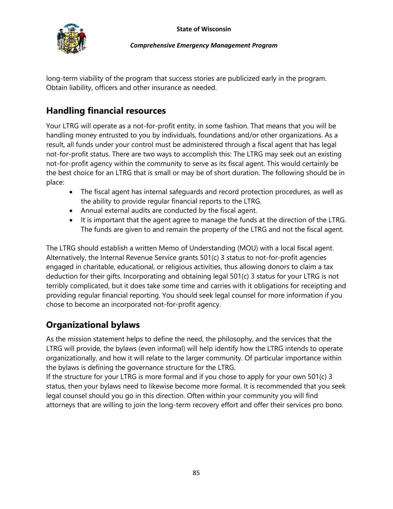

long-term viability of the program that success stories are publicized early in the program. Obtain liability, officers and other insurance as needed.

## **Handling financial resources**

Your LTRG will operate as a not-for-profit entity, in some fashion. That means that you will be handling money entrusted to you by individuals, foundations and/or other organizations. As a result, all funds under your control must be administered through a fiscal agent that has legal not-for-profit status. There are two ways to accomplish this: The LTRG may seek out an existing not-for-profit agency within the community to serve as its fiscal agent. This would certainly be the best choice for an LTRG that is small or may be of short duration. The following should be in place:

- The fiscal agent has internal safeguards and record protection procedures, as well as the ability to provide regular financial reports to the LTRG.
- Annual external audits are conducted by the fiscal agent.
- It is important that the agent agree to manage the funds at the direction of the LTRG. The funds are given to and remain the property of the LTRG and not the fiscal agent.

The LTRG should establish a written Memo of Understanding (MOU) with a local fiscal agent. Alternatively, the Internal Revenue Service grants 501(c) 3 status to not-for-profit agencies engaged in charitable, educational, or religious activities, thus allowing donors to claim a tax deduction for their gifts. Incorporating and obtaining legal 501(c) 3 status for your LTRG is not terribly complicated, but it does take some time and carries with it obligations for receipting and providing regular financial reporting. You should seek legal counsel for more information if you chose to become an incorporated not-for-profit agency.

## **Organizational bylaws**

As the mission statement helps to define the need, the philosophy, and the services that the LTRG will provide, the bylaws (even informal) will help identify how the LTRG intends to operate organizationally, and how it will relate to the larger community. Of particular importance within the bylaws is defining the governance structure for the LTRG.

If the structure for your LTRG is more formal and if you chose to apply for your own 501(c) 3 status, then your bylaws need to likewise become more formal. It is recommended that you seek legal counsel should you go in this direction. Often within your community you will find attorneys that are willing to join the long-term recovery effort and offer their services pro bono.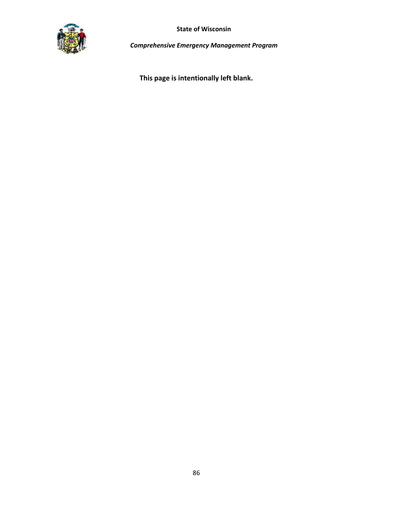

*Comprehensive Emergency Management Program*

**This page is intentionally left blank.**